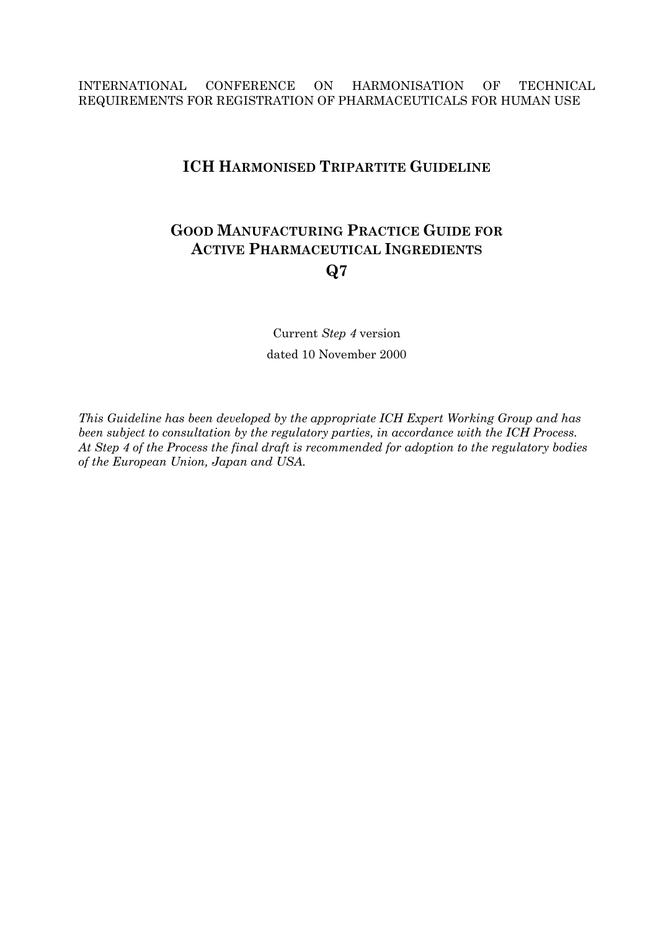#### INTERNATIONAL CONFERENCE ON HARMONISATION OF TECHNICAL REQUIREMENTS FOR REGISTRATION OF PHARMACEUTICALS FOR HUMAN USE

## **ICH HARMONISED TRIPARTITE GUIDELINE**

# **GOOD MANUFACTURING PRACTICE GUIDE FOR ACTIVE PHARMACEUTICAL INGREDIENTS Q7**

Current *Step 4* version dated 10 November 2000

*This Guideline has been developed by the appropriate ICH Expert Working Group and has been subject to consultation by the regulatory parties, in accordance with the ICH Process. At Step 4 of the Process the final draft is recommended for adoption to the regulatory bodies of the European Union, Japan and USA.*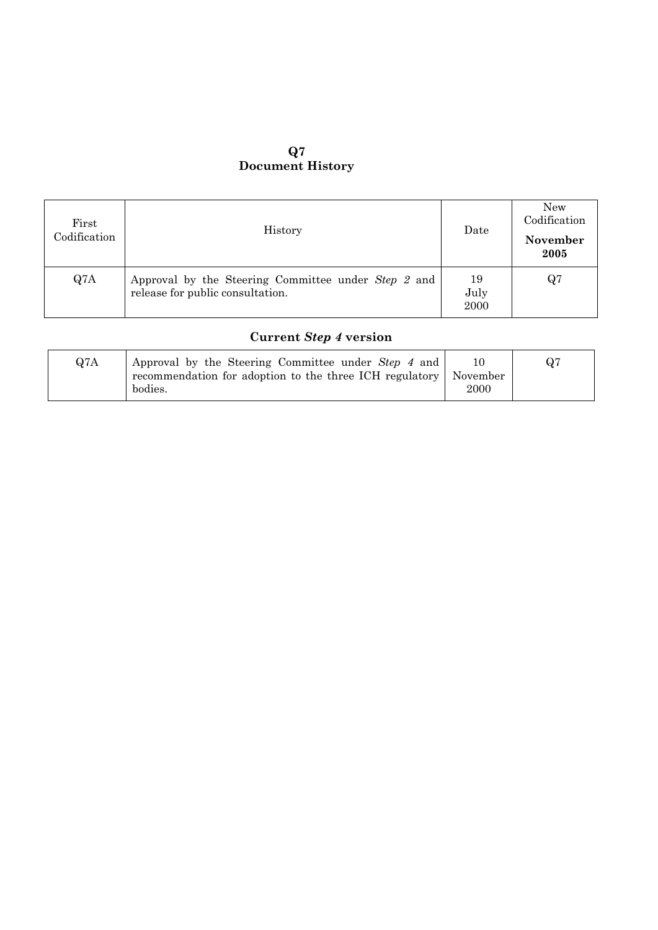#### **Q7 Document History**

| First<br>Codification | History                                                                                 | Date               | New<br>Codification<br><b>November</b><br>2005 |
|-----------------------|-----------------------------------------------------------------------------------------|--------------------|------------------------------------------------|
| Q7A                   | Approval by the Steering Committee under Step 2 and<br>release for public consultation. | 19<br>July<br>2000 | $\rm Q7$                                       |

# **Current** *Step 4* **version**

| Q7A | Approval by the Steering Committee under Step 4 and<br>recommendation for adoption to the three ICH regulatory November |      |  |
|-----|-------------------------------------------------------------------------------------------------------------------------|------|--|
|     | bodies.                                                                                                                 | 2000 |  |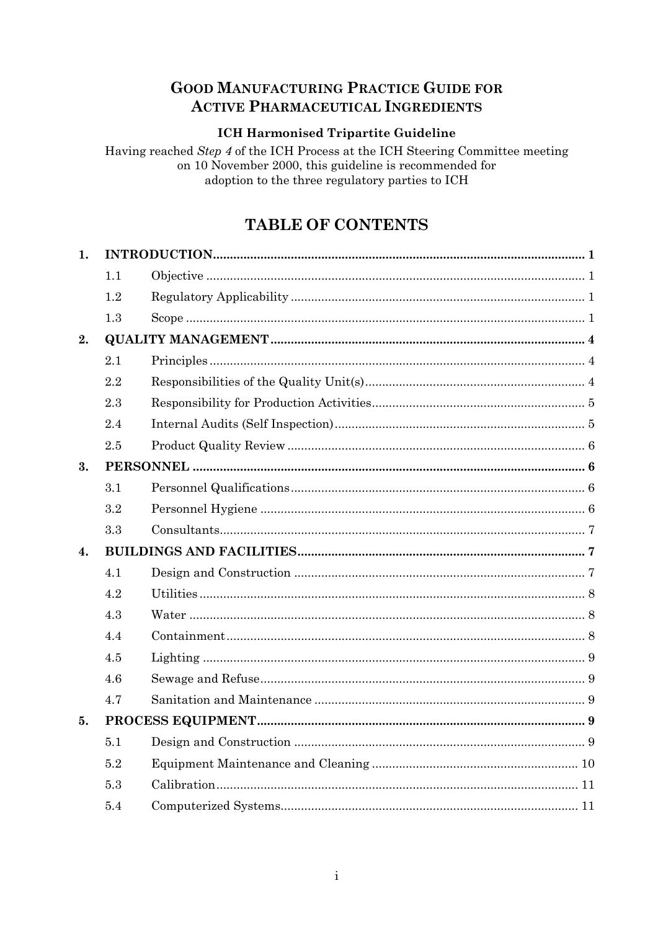# **GOOD MANUFACTURING PRACTICE GUIDE FOR ACTIVE PHARMACEUTICAL INGREDIENTS**

## **ICH Harmonised Tripartite Guideline**

Having reached Step 4 of the ICH Process at the ICH Steering Committee meeting on 10 November 2000, this guideline is recommended for adoption to the three regulatory parties to ICH

# **TABLE OF CONTENTS**

| 1. |     |  |  |  |  |
|----|-----|--|--|--|--|
|    | 1.1 |  |  |  |  |
|    | 1.2 |  |  |  |  |
|    | 1.3 |  |  |  |  |
| 2. |     |  |  |  |  |
|    | 2.1 |  |  |  |  |
|    | 2.2 |  |  |  |  |
|    | 2.3 |  |  |  |  |
|    | 2.4 |  |  |  |  |
|    | 2.5 |  |  |  |  |
| 3. |     |  |  |  |  |
|    | 3.1 |  |  |  |  |
|    | 3.2 |  |  |  |  |
|    | 3.3 |  |  |  |  |
| 4. |     |  |  |  |  |
|    | 4.1 |  |  |  |  |
|    | 4.2 |  |  |  |  |
|    | 4.3 |  |  |  |  |
|    | 4.4 |  |  |  |  |
|    | 4.5 |  |  |  |  |
|    | 4.6 |  |  |  |  |
|    | 4.7 |  |  |  |  |
| 5. |     |  |  |  |  |
|    | 5.1 |  |  |  |  |
|    | 5.2 |  |  |  |  |
|    | 5.3 |  |  |  |  |
|    | 5.4 |  |  |  |  |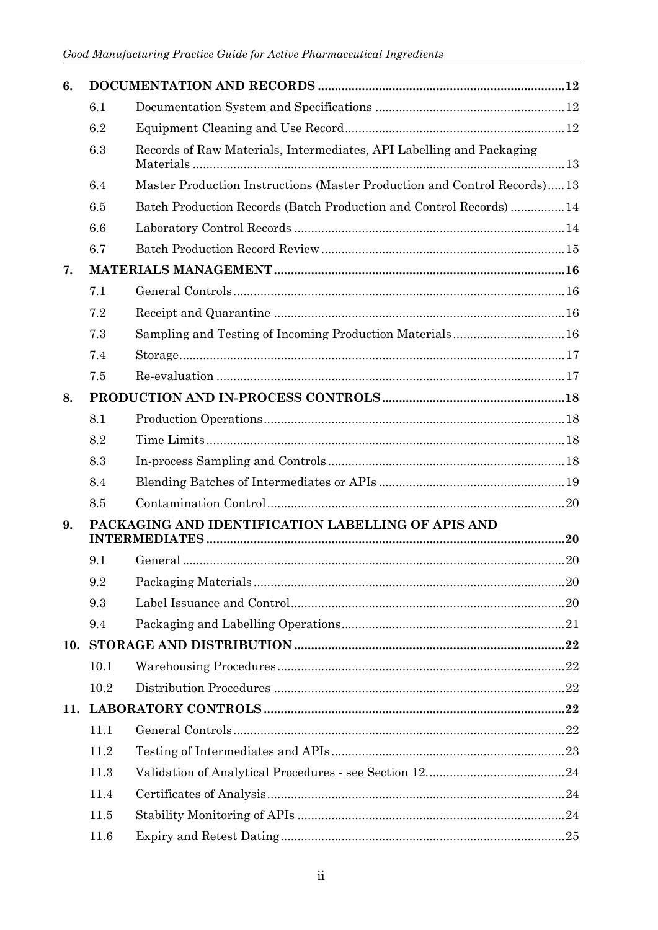| 6.  |      |                                                                          |  |  |
|-----|------|--------------------------------------------------------------------------|--|--|
|     | 6.1  |                                                                          |  |  |
|     | 6.2  |                                                                          |  |  |
|     | 6.3  | Records of Raw Materials, Intermediates, API Labelling and Packaging     |  |  |
|     | 6.4  | Master Production Instructions (Master Production and Control Records)13 |  |  |
|     | 6.5  | Batch Production Records (Batch Production and Control Records)  14      |  |  |
|     | 6.6  |                                                                          |  |  |
|     | 6.7  |                                                                          |  |  |
| 7.  |      |                                                                          |  |  |
|     | 7.1  |                                                                          |  |  |
|     | 7.2  |                                                                          |  |  |
|     | 7.3  | Sampling and Testing of Incoming Production Materials16                  |  |  |
|     | 7.4  |                                                                          |  |  |
|     | 7.5  |                                                                          |  |  |
| 8.  |      |                                                                          |  |  |
|     | 8.1  |                                                                          |  |  |
|     | 8.2  |                                                                          |  |  |
|     | 8.3  |                                                                          |  |  |
|     | 8.4  |                                                                          |  |  |
|     | 8.5  |                                                                          |  |  |
| 9.  |      | PACKAGING AND IDENTIFICATION LABELLING OF APIS AND                       |  |  |
|     | 9.1  |                                                                          |  |  |
|     | 9.2  |                                                                          |  |  |
|     | 9.3  |                                                                          |  |  |
|     | 9.4  |                                                                          |  |  |
| 10. |      |                                                                          |  |  |
|     | 10.1 |                                                                          |  |  |
|     | 10.2 |                                                                          |  |  |
| 11. |      |                                                                          |  |  |
|     | 11.1 |                                                                          |  |  |
|     | 11.2 |                                                                          |  |  |
|     | 11.3 |                                                                          |  |  |
|     | 11.4 |                                                                          |  |  |
|     | 11.5 |                                                                          |  |  |
|     | 11.6 |                                                                          |  |  |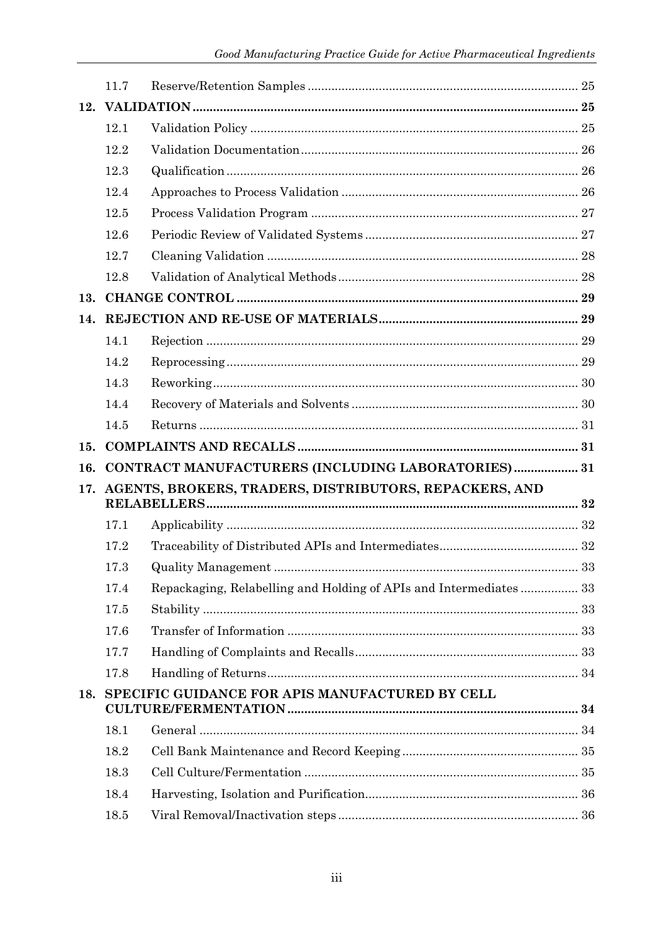|     | 11.7 |                                                                   |    |  |
|-----|------|-------------------------------------------------------------------|----|--|
|     |      |                                                                   |    |  |
|     | 12.1 |                                                                   |    |  |
|     | 12.2 |                                                                   |    |  |
|     | 12.3 |                                                                   |    |  |
|     | 12.4 |                                                                   |    |  |
|     | 12.5 |                                                                   |    |  |
|     | 12.6 |                                                                   |    |  |
|     | 12.7 |                                                                   |    |  |
|     | 12.8 |                                                                   |    |  |
| 13. |      |                                                                   |    |  |
| 14. |      |                                                                   |    |  |
|     | 14.1 |                                                                   |    |  |
|     | 14.2 |                                                                   |    |  |
|     | 14.3 |                                                                   |    |  |
|     | 14.4 |                                                                   |    |  |
|     | 14.5 |                                                                   |    |  |
| 15. |      |                                                                   |    |  |
|     |      |                                                                   |    |  |
| 16. |      | CONTRACT MANUFACTURERS (INCLUDING LABORATORIES) 31                |    |  |
|     |      | 17. AGENTS, BROKERS, TRADERS, DISTRIBUTORS, REPACKERS, AND        |    |  |
|     | 17.1 |                                                                   |    |  |
|     | 17.2 |                                                                   |    |  |
|     | 17.3 |                                                                   | 33 |  |
|     | 17.4 | Repackaging, Relabelling and Holding of APIs and Intermediates 33 |    |  |
|     | 17.5 |                                                                   |    |  |
|     | 17.6 |                                                                   |    |  |
|     | 17.7 |                                                                   |    |  |
|     | 17.8 |                                                                   |    |  |
| 18. |      | SPECIFIC GUIDANCE FOR APIS MANUFACTURED BY CELL                   |    |  |
|     |      |                                                                   |    |  |
|     | 18.1 |                                                                   |    |  |
|     | 18.2 |                                                                   |    |  |
|     | 18.3 |                                                                   |    |  |
|     | 18.4 |                                                                   |    |  |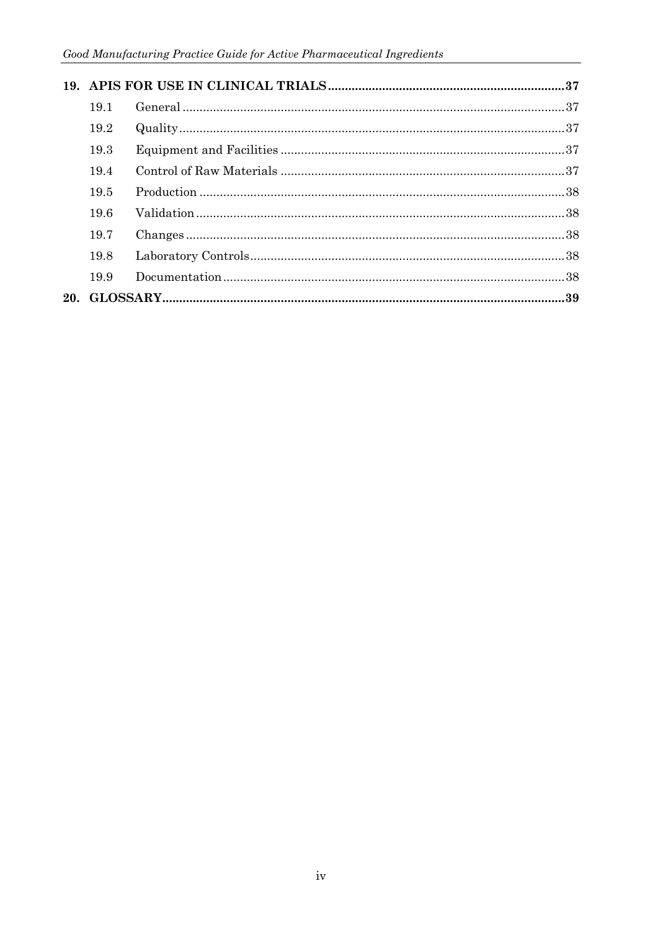|     | 19.1 |  |  |  |  |  |
|-----|------|--|--|--|--|--|
|     | 19.2 |  |  |  |  |  |
|     | 19.3 |  |  |  |  |  |
|     | 19.4 |  |  |  |  |  |
|     | 19.5 |  |  |  |  |  |
|     | 19.6 |  |  |  |  |  |
|     | 19.7 |  |  |  |  |  |
|     | 19.8 |  |  |  |  |  |
|     | 19.9 |  |  |  |  |  |
| 20. |      |  |  |  |  |  |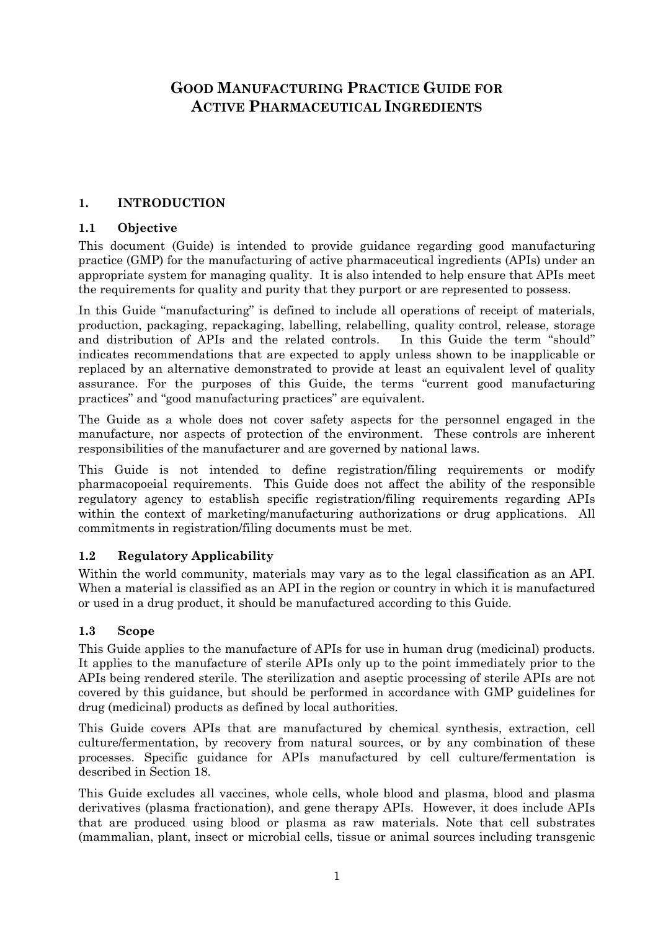# <span id="page-6-0"></span>**GOOD MANUFACTURING PRACTICE GUIDE FOR ACTIVE PHARMACEUTICAL INGREDIENTS**

## **1. INTRODUCTION**

## **1.1 Objective**

This document (Guide) is intended to provide guidance regarding good manufacturing practice (GMP) for the manufacturing of active pharmaceutical ingredients (APIs) under an appropriate system for managing quality. It is also intended to help ensure that APIs meet the requirements for quality and purity that they purport or are represented to possess.

In this Guide "manufacturing" is defined to include all operations of receipt of materials, production, packaging, repackaging, labelling, relabelling, quality control, release, storage and distribution of APIs and the related controls. In this Guide the term "should" indicates recommendations that are expected to apply unless shown to be inapplicable or replaced by an alternative demonstrated to provide at least an equivalent level of quality assurance. For the purposes of this Guide, the terms "current good manufacturing practices" and "good manufacturing practices" are equivalent.

The Guide as a whole does not cover safety aspects for the personnel engaged in the manufacture, nor aspects of protection of the environment. These controls are inherent responsibilities of the manufacturer and are governed by national laws.

This Guide is not intended to define registration/filing requirements or modify pharmacopoeial requirements. This Guide does not affect the ability of the responsible regulatory agency to establish specific registration/filing requirements regarding APIs within the context of marketing/manufacturing authorizations or drug applications. All commitments in registration/filing documents must be met.

## **1.2 Regulatory Applicability**

Within the world community, materials may vary as to the legal classification as an API. When a material is classified as an API in the region or country in which it is manufactured or used in a drug product, it should be manufactured according to this Guide.

#### **1.3 Scope**

This Guide applies to the manufacture of APIs for use in human drug (medicinal) products. It applies to the manufacture of sterile APIs only up to the point immediately prior to the APIs being rendered sterile. The sterilization and aseptic processing of sterile APIs are not covered by this guidance, but should be performed in accordance with GMP guidelines for drug (medicinal) products as defined by local authorities.

This Guide covers APIs that are manufactured by chemical synthesis, extraction, cell culture/fermentation, by recovery from natural sources, or by any combination of these processes. Specific guidance for APIs manufactured by cell culture/fermentation is described in Section 18.

This Guide excludes all vaccines, whole cells, whole blood and plasma, blood and plasma derivatives (plasma fractionation), and gene therapy APIs. However, it does include APIs that are produced using blood or plasma as raw materials. Note that cell substrates (mammalian, plant, insect or microbial cells, tissue or animal sources including transgenic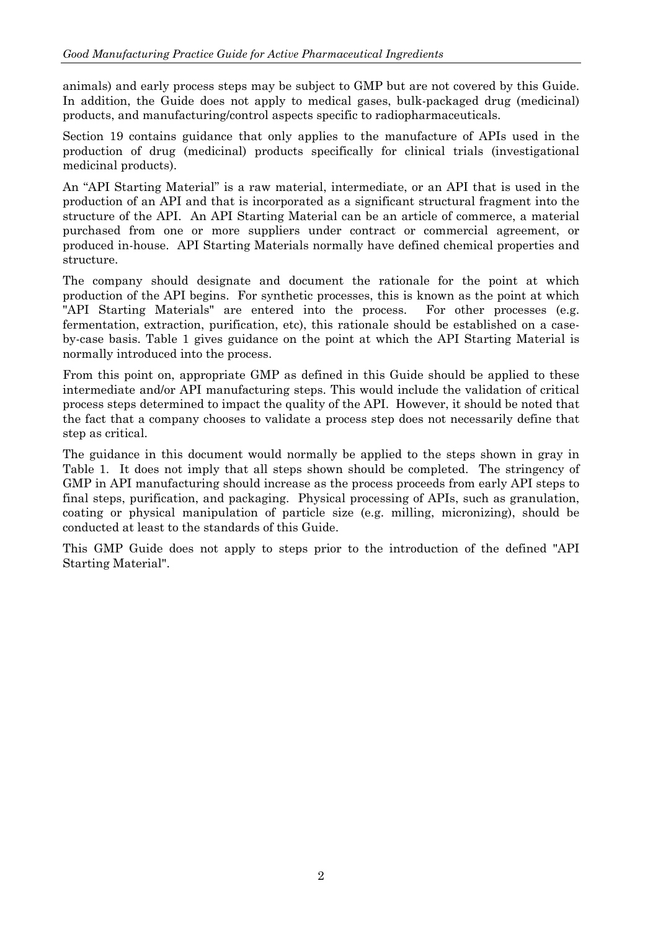animals) and early process steps may be subject to GMP but are not covered by this Guide. In addition, the Guide does not apply to medical gases, bulk-packaged drug (medicinal) products, and manufacturing/control aspects specific to radiopharmaceuticals.

Section 19 contains guidance that only applies to the manufacture of APIs used in the production of drug (medicinal) products specifically for clinical trials (investigational medicinal products).

An "API Starting Material" is a raw material, intermediate, or an API that is used in the production of an API and that is incorporated as a significant structural fragment into the structure of the API. An API Starting Material can be an article of commerce, a material purchased from one or more suppliers under contract or commercial agreement, or produced in-house. API Starting Materials normally have defined chemical properties and structure.

The company should designate and document the rationale for the point at which production of the API begins. For synthetic processes, this is known as the point at which "API Starting Materials" are entered into the process. For other processes (e.g. fermentation, extraction, purification, etc), this rationale should be established on a caseby-case basis. Table 1 gives guidance on the point at which the API Starting Material is normally introduced into the process.

From this point on, appropriate GMP as defined in this Guide should be applied to these intermediate and/or API manufacturing steps. This would include the validation of critical process steps determined to impact the quality of the API. However, it should be noted that the fact that a company chooses to validate a process step does not necessarily define that step as critical.

The guidance in this document would normally be applied to the steps shown in gray in Table 1. It does not imply that all steps shown should be completed. The stringency of GMP in API manufacturing should increase as the process proceeds from early API steps to final steps, purification, and packaging. Physical processing of APIs, such as granulation, coating or physical manipulation of particle size (e.g. milling, micronizing), should be conducted at least to the standards of this Guide.

This GMP Guide does not apply to steps prior to the introduction of the defined "API Starting Material".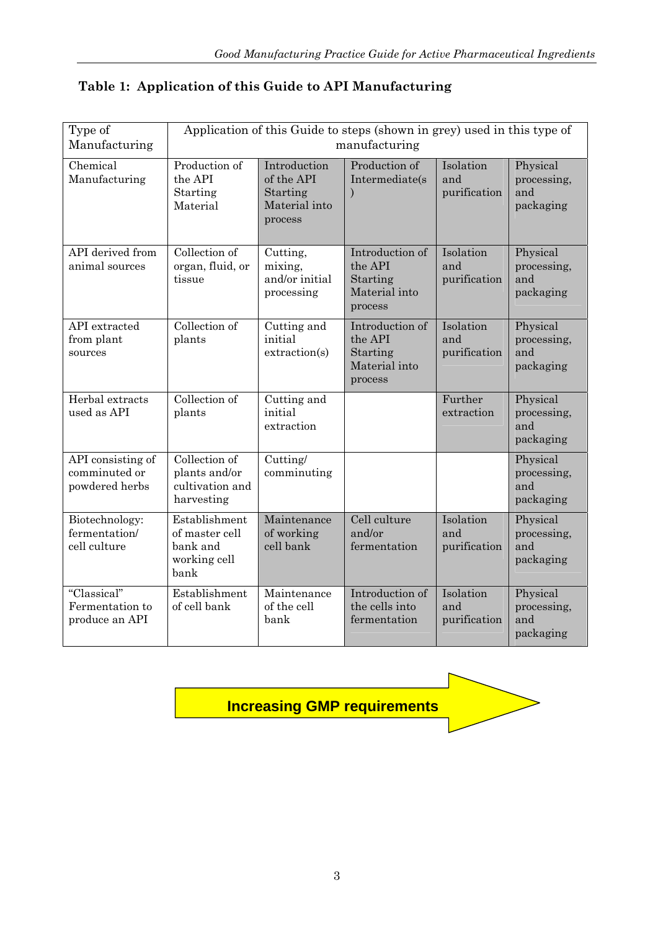| Type of<br>Manufacturing                             | Application of this Guide to steps (shown in grey) used in this type of<br>manufacturing |                                                                    |                                                                    |                                  |                                             |  |
|------------------------------------------------------|------------------------------------------------------------------------------------------|--------------------------------------------------------------------|--------------------------------------------------------------------|----------------------------------|---------------------------------------------|--|
| Chemical<br>Manufacturing                            | Production of<br>the API<br>Starting<br>Material                                         | Introduction<br>of the API<br>Starting<br>Material into<br>process | Production of<br>Intermediate(s)                                   | Isolation<br>and<br>purification | Physical<br>processing,<br>and<br>packaging |  |
| API derived from<br>animal sources                   | Collection of<br>organ, fluid, or<br>tissue                                              | Cutting,<br>mixing,<br>and/or initial<br>processing                | Introduction of<br>the API<br>Starting<br>Material into<br>process | Isolation<br>and<br>purification | Physical<br>processing,<br>and<br>packaging |  |
| API extracted<br>from plant<br>sources               | Collection of<br>plants                                                                  | Cutting and<br>initial<br>extraction(s)                            | Introduction of<br>the API<br>Starting<br>Material into<br>process | Isolation<br>and<br>purification | Physical<br>processing,<br>and<br>packaging |  |
| Herbal extracts<br>used as API                       | Collection of<br>plants                                                                  | Cutting and<br>initial<br>extraction                               |                                                                    | Further<br>extraction            | Physical<br>processing,<br>and<br>packaging |  |
| API consisting of<br>comminuted or<br>powdered herbs | Collection of<br>plants and/or<br>cultivation and<br>harvesting                          | Cutting/<br>comminuting                                            |                                                                    |                                  | Physical<br>processing,<br>and<br>packaging |  |
| Biotechnology:<br>fermentation/<br>cell culture      | Establishment<br>of master cell<br>bank and<br>working cell<br>bank                      | Maintenance<br>of working<br>cell bank                             | Cell culture<br>and/or<br>fermentation                             | Isolation<br>and<br>purification | Physical<br>processing,<br>and<br>packaging |  |
| "Classical"<br>Fermentation to<br>produce an API     | Establishment<br>of cell bank                                                            | Maintenance<br>of the cell<br>bank                                 | Introduction of<br>the cells into<br>fermentation                  | Isolation<br>and<br>purification | Physical<br>processing,<br>and<br>packaging |  |

# **Table 1: Application of this Guide to API Manufacturing**

# **Increasing GMP requirements**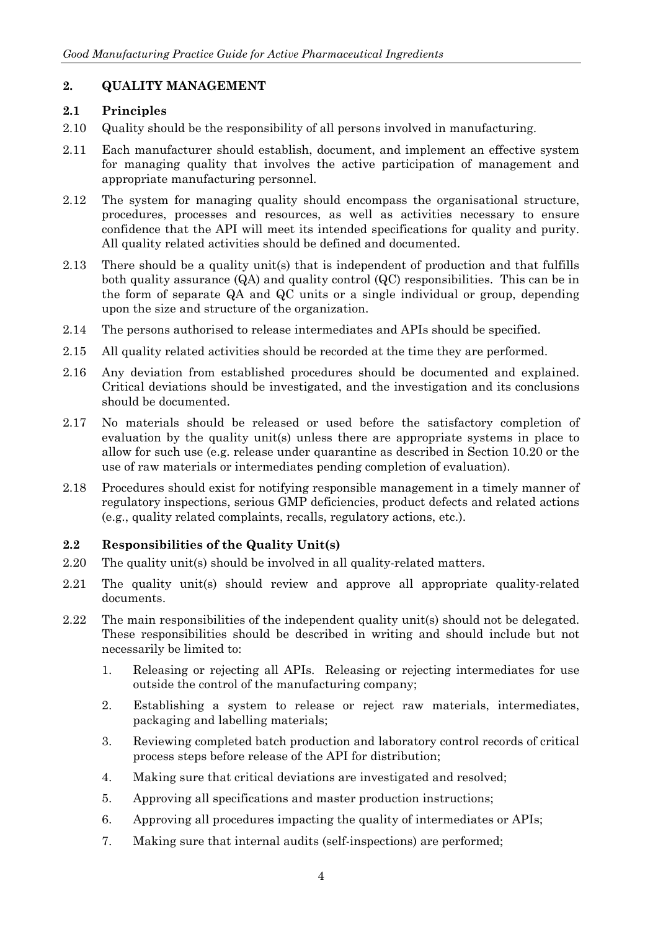## <span id="page-9-0"></span>**2. QUALITY MANAGEMENT**

## **2.1 Principles**

- 2.10 Quality should be the responsibility of all persons involved in manufacturing.
- 2.11 Each manufacturer should establish, document, and implement an effective system for managing quality that involves the active participation of management and appropriate manufacturing personnel.
- 2.12 The system for managing quality should encompass the organisational structure, procedures, processes and resources, as well as activities necessary to ensure confidence that the API will meet its intended specifications for quality and purity. All quality related activities should be defined and documented.
- 2.13 There should be a quality unit(s) that is independent of production and that fulfills both quality assurance (QA) and quality control (QC) responsibilities. This can be in the form of separate QA and QC units or a single individual or group, depending upon the size and structure of the organization.
- 2.14 The persons authorised to release intermediates and APIs should be specified.
- 2.15 All quality related activities should be recorded at the time they are performed.
- 2.16 Any deviation from established procedures should be documented and explained. Critical deviations should be investigated, and the investigation and its conclusions should be documented.
- 2.17 No materials should be released or used before the satisfactory completion of evaluation by the quality unit(s) unless there are appropriate systems in place to allow for such use (e.g. release under quarantine as described in Section 10.20 or the use of raw materials or intermediates pending completion of evaluation).
- 2.18 Procedures should exist for notifying responsible management in a timely manner of regulatory inspections, serious GMP deficiencies, product defects and related actions (e.g., quality related complaints, recalls, regulatory actions, etc.).

## **2.2 Responsibilities of the Quality Unit(s)**

- 2.20 The quality unit(s) should be involved in all quality-related matters.
- 2.21 The quality unit(s) should review and approve all appropriate quality-related documents.
- 2.22 The main responsibilities of the independent quality unit(s) should not be delegated. These responsibilities should be described in writing and should include but not necessarily be limited to:
	- 1. Releasing or rejecting all APIs. Releasing or rejecting intermediates for use outside the control of the manufacturing company;
	- 2. Establishing a system to release or reject raw materials, intermediates, packaging and labelling materials;
	- 3. Reviewing completed batch production and laboratory control records of critical process steps before release of the API for distribution;
	- 4. Making sure that critical deviations are investigated and resolved;
	- 5. Approving all specifications and master production instructions;
	- 6. Approving all procedures impacting the quality of intermediates or APIs;
	- 7. Making sure that internal audits (self-inspections) are performed;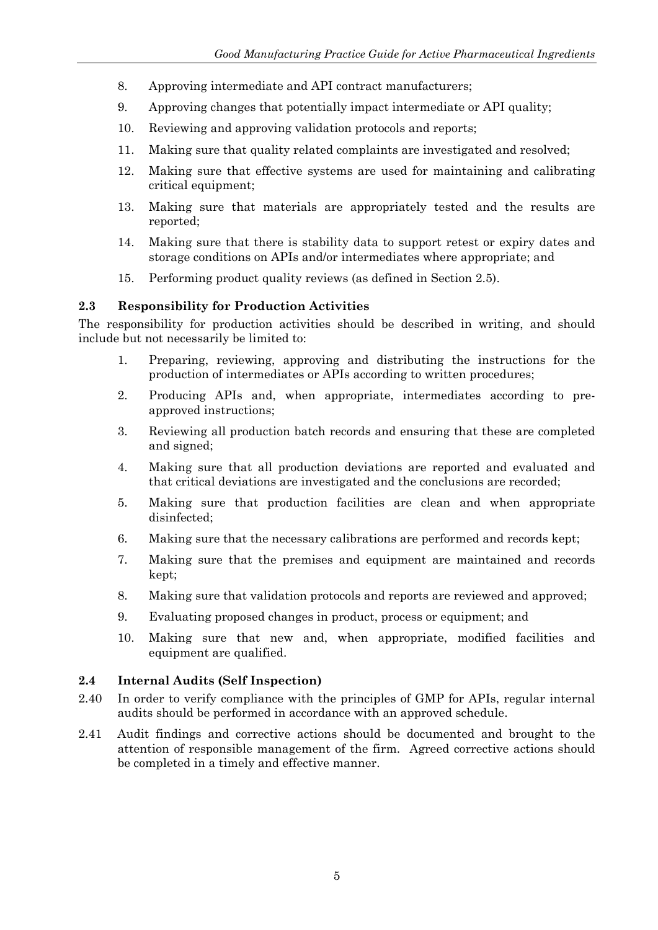- <span id="page-10-0"></span>8. Approving intermediate and API contract manufacturers;
- 9. Approving changes that potentially impact intermediate or API quality;
- 10. Reviewing and approving validation protocols and reports;
- 11. Making sure that quality related complaints are investigated and resolved;
- 12. Making sure that effective systems are used for maintaining and calibrating critical equipment;
- 13. Making sure that materials are appropriately tested and the results are reported;
- 14. Making sure that there is stability data to support retest or expiry dates and storage conditions on APIs and/or intermediates where appropriate; and
- 15. Performing product quality reviews (as defined in Section 2.5).

#### **2.3 Responsibility for Production Activities**

The responsibility for production activities should be described in writing, and should include but not necessarily be limited to:

- 1. Preparing, reviewing, approving and distributing the instructions for the production of intermediates or APIs according to written procedures;
- 2. Producing APIs and, when appropriate, intermediates according to preapproved instructions;
- 3. Reviewing all production batch records and ensuring that these are completed and signed;
- 4. Making sure that all production deviations are reported and evaluated and that critical deviations are investigated and the conclusions are recorded;
- 5. Making sure that production facilities are clean and when appropriate disinfected;
- 6. Making sure that the necessary calibrations are performed and records kept;
- 7. Making sure that the premises and equipment are maintained and records kept;
- 8. Making sure that validation protocols and reports are reviewed and approved;
- 9. Evaluating proposed changes in product, process or equipment; and
- 10. Making sure that new and, when appropriate, modified facilities and equipment are qualified.

#### **2.4 Internal Audits (Self Inspection)**

- 2.40 In order to verify compliance with the principles of GMP for APIs, regular internal audits should be performed in accordance with an approved schedule.
- 2.41 Audit findings and corrective actions should be documented and brought to the attention of responsible management of the firm. Agreed corrective actions should be completed in a timely and effective manner.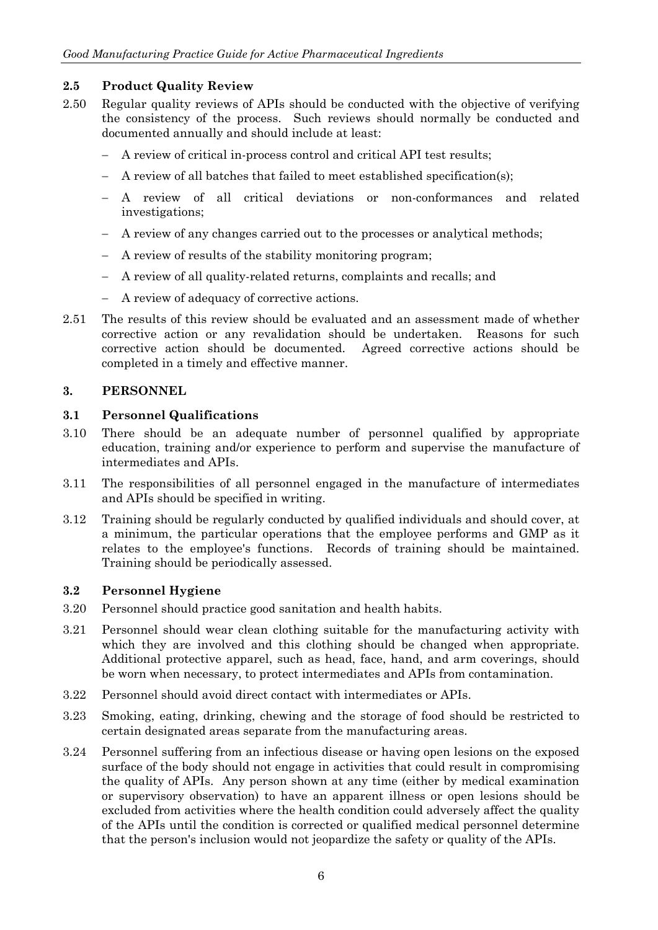#### <span id="page-11-0"></span>**2.5 Product Quality Review**

- 2.50 Regular quality reviews of APIs should be conducted with the objective of verifying the consistency of the process. Such reviews should normally be conducted and documented annually and should include at least:
	- A review of critical in-process control and critical API test results;
	- − A review of all batches that failed to meet established specification(s);
	- − A review of all critical deviations or non-conformances and related investigations;
	- − A review of any changes carried out to the processes or analytical methods;
	- − A review of results of the stability monitoring program;
	- − A review of all quality-related returns, complaints and recalls; and
	- − A review of adequacy of corrective actions.
- 2.51 The results of this review should be evaluated and an assessment made of whether corrective action or any revalidation should be undertaken. Reasons for such corrective action should be documented. Agreed corrective actions should be completed in a timely and effective manner.

#### **3. PERSONNEL**

#### **3.1 Personnel Qualifications**

- 3.10 There should be an adequate number of personnel qualified by appropriate education, training and/or experience to perform and supervise the manufacture of intermediates and APIs.
- 3.11 The responsibilities of all personnel engaged in the manufacture of intermediates and APIs should be specified in writing.
- 3.12 Training should be regularly conducted by qualified individuals and should cover, at a minimum, the particular operations that the employee performs and GMP as it relates to the employee's functions. Records of training should be maintained. Training should be periodically assessed.

#### **3.2 Personnel Hygiene**

- 3.20 Personnel should practice good sanitation and health habits.
- 3.21 Personnel should wear clean clothing suitable for the manufacturing activity with which they are involved and this clothing should be changed when appropriate. Additional protective apparel, such as head, face, hand, and arm coverings, should be worn when necessary, to protect intermediates and APIs from contamination.
- 3.22 Personnel should avoid direct contact with intermediates or APIs.
- 3.23 Smoking, eating, drinking, chewing and the storage of food should be restricted to certain designated areas separate from the manufacturing areas.
- 3.24 Personnel suffering from an infectious disease or having open lesions on the exposed surface of the body should not engage in activities that could result in compromising the quality of APIs. Any person shown at any time (either by medical examination or supervisory observation) to have an apparent illness or open lesions should be excluded from activities where the health condition could adversely affect the quality of the APIs until the condition is corrected or qualified medical personnel determine that the person's inclusion would not jeopardize the safety or quality of the APIs.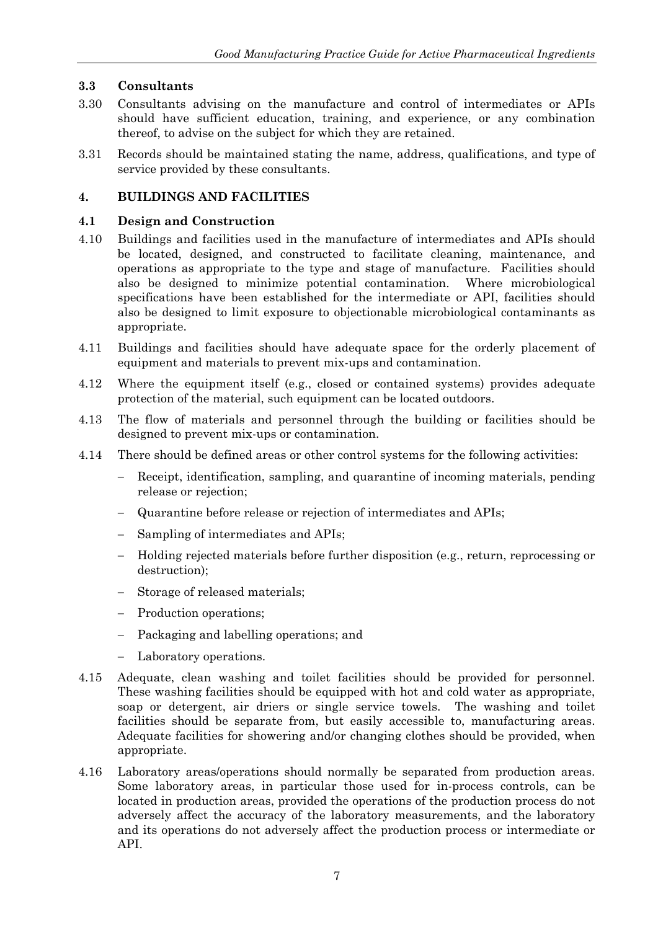## <span id="page-12-0"></span>**3.3 Consultants**

- 3.30 Consultants advising on the manufacture and control of intermediates or APIs should have sufficient education, training, and experience, or any combination thereof, to advise on the subject for which they are retained.
- 3.31 Records should be maintained stating the name, address, qualifications, and type of service provided by these consultants.

### **4. BUILDINGS AND FACILITIES**

#### **4.1 Design and Construction**

- 4.10 Buildings and facilities used in the manufacture of intermediates and APIs should be located, designed, and constructed to facilitate cleaning, maintenance, and operations as appropriate to the type and stage of manufacture. Facilities should also be designed to minimize potential contamination. Where microbiological specifications have been established for the intermediate or API, facilities should also be designed to limit exposure to objectionable microbiological contaminants as appropriate.
- 4.11 Buildings and facilities should have adequate space for the orderly placement of equipment and materials to prevent mix-ups and contamination.
- 4.12 Where the equipment itself (e.g., closed or contained systems) provides adequate protection of the material, such equipment can be located outdoors.
- 4.13 The flow of materials and personnel through the building or facilities should be designed to prevent mix-ups or contamination.
- 4.14 There should be defined areas or other control systems for the following activities:
	- Receipt, identification, sampling, and quarantine of incoming materials, pending release or rejection;
	- − Quarantine before release or rejection of intermediates and APIs;
	- − Sampling of intermediates and APIs;
	- − Holding rejected materials before further disposition (e.g., return, reprocessing or destruction);
	- − Storage of released materials;
	- − Production operations;
	- − Packaging and labelling operations; and
	- Laboratory operations.
- 4.15 Adequate, clean washing and toilet facilities should be provided for personnel. These washing facilities should be equipped with hot and cold water as appropriate, soap or detergent, air driers or single service towels. The washing and toilet facilities should be separate from, but easily accessible to, manufacturing areas. Adequate facilities for showering and/or changing clothes should be provided, when appropriate.
- 4.16 Laboratory areas/operations should normally be separated from production areas. Some laboratory areas, in particular those used for in-process controls, can be located in production areas, provided the operations of the production process do not adversely affect the accuracy of the laboratory measurements, and the laboratory and its operations do not adversely affect the production process or intermediate or API.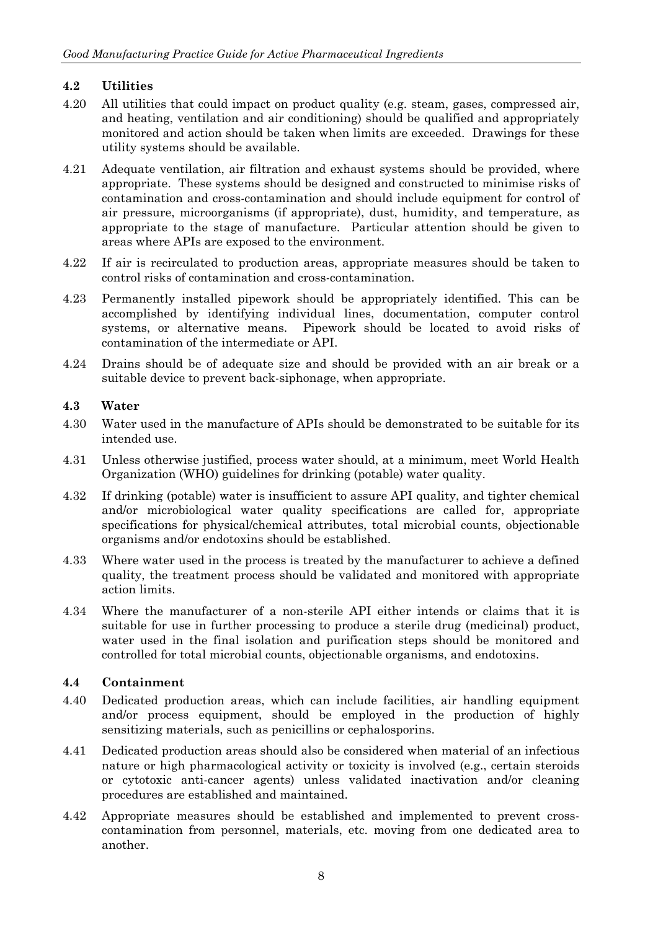## <span id="page-13-0"></span>**4.2 Utilities**

- 4.20 All utilities that could impact on product quality (e.g. steam, gases, compressed air, and heating, ventilation and air conditioning) should be qualified and appropriately monitored and action should be taken when limits are exceeded. Drawings for these utility systems should be available.
- 4.21 Adequate ventilation, air filtration and exhaust systems should be provided, where appropriate. These systems should be designed and constructed to minimise risks of contamination and cross-contamination and should include equipment for control of air pressure, microorganisms (if appropriate), dust, humidity, and temperature, as appropriate to the stage of manufacture. Particular attention should be given to areas where APIs are exposed to the environment.
- 4.22 If air is recirculated to production areas, appropriate measures should be taken to control risks of contamination and cross-contamination.
- 4.23 Permanently installed pipework should be appropriately identified. This can be accomplished by identifying individual lines, documentation, computer control systems, or alternative means. Pipework should be located to avoid risks of contamination of the intermediate or API.
- 4.24 Drains should be of adequate size and should be provided with an air break or a suitable device to prevent back-siphonage, when appropriate.

#### **4.3 Water**

- 4.30 Water used in the manufacture of APIs should be demonstrated to be suitable for its intended use.
- 4.31 Unless otherwise justified, process water should, at a minimum, meet World Health Organization (WHO) guidelines for drinking (potable) water quality.
- 4.32 If drinking (potable) water is insufficient to assure API quality, and tighter chemical and/or microbiological water quality specifications are called for, appropriate specifications for physical/chemical attributes, total microbial counts, objectionable organisms and/or endotoxins should be established.
- 4.33 Where water used in the process is treated by the manufacturer to achieve a defined quality, the treatment process should be validated and monitored with appropriate action limits.
- 4.34 Where the manufacturer of a non-sterile API either intends or claims that it is suitable for use in further processing to produce a sterile drug (medicinal) product, water used in the final isolation and purification steps should be monitored and controlled for total microbial counts, objectionable organisms, and endotoxins.

#### **4.4 Containment**

- 4.40 Dedicated production areas, which can include facilities, air handling equipment and/or process equipment, should be employed in the production of highly sensitizing materials, such as penicillins or cephalosporins.
- 4.41 Dedicated production areas should also be considered when material of an infectious nature or high pharmacological activity or toxicity is involved (e.g., certain steroids or cytotoxic anti-cancer agents) unless validated inactivation and/or cleaning procedures are established and maintained.
- 4.42 Appropriate measures should be established and implemented to prevent crosscontamination from personnel, materials, etc. moving from one dedicated area to another.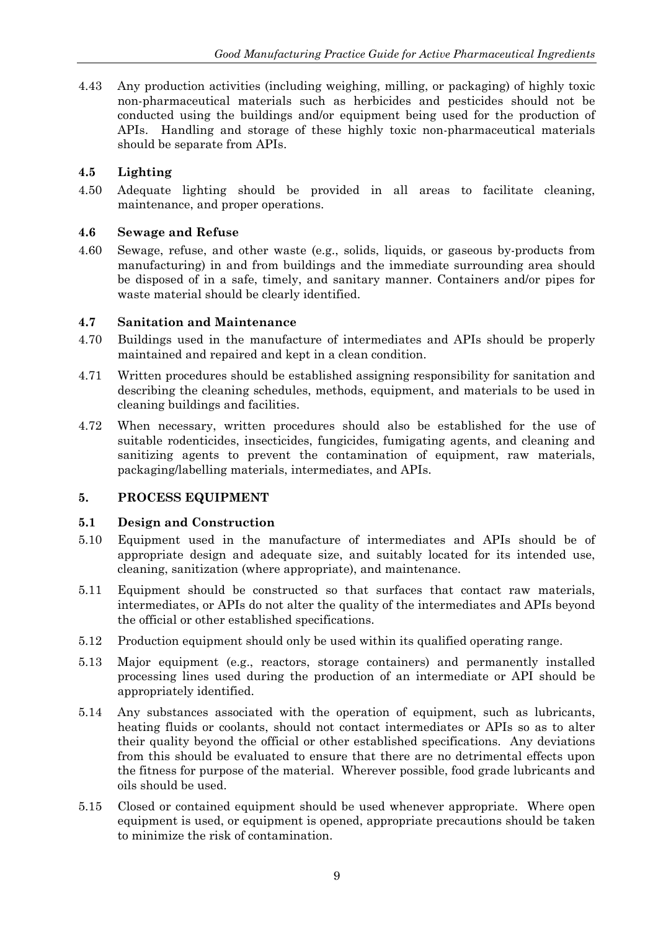<span id="page-14-0"></span>4.43 Any production activities (including weighing, milling, or packaging) of highly toxic non-pharmaceutical materials such as herbicides and pesticides should not be conducted using the buildings and/or equipment being used for the production of APIs. Handling and storage of these highly toxic non-pharmaceutical materials should be separate from APIs.

## **4.5 Lighting**

4.50 Adequate lighting should be provided in all areas to facilitate cleaning, maintenance, and proper operations.

#### **4.6 Sewage and Refuse**

4.60 Sewage, refuse, and other waste (e.g., solids, liquids, or gaseous by-products from manufacturing) in and from buildings and the immediate surrounding area should be disposed of in a safe, timely, and sanitary manner. Containers and/or pipes for waste material should be clearly identified.

#### **4.7 Sanitation and Maintenance**

- 4.70 Buildings used in the manufacture of intermediates and APIs should be properly maintained and repaired and kept in a clean condition.
- 4.71 Written procedures should be established assigning responsibility for sanitation and describing the cleaning schedules, methods, equipment, and materials to be used in cleaning buildings and facilities.
- 4.72 When necessary, written procedures should also be established for the use of suitable rodenticides, insecticides, fungicides, fumigating agents, and cleaning and sanitizing agents to prevent the contamination of equipment, raw materials, packaging/labelling materials, intermediates, and APIs.

#### **5. PROCESS EQUIPMENT**

#### **5.1 Design and Construction**

- 5.10 Equipment used in the manufacture of intermediates and APIs should be of appropriate design and adequate size, and suitably located for its intended use, cleaning, sanitization (where appropriate), and maintenance.
- 5.11 Equipment should be constructed so that surfaces that contact raw materials, intermediates, or APIs do not alter the quality of the intermediates and APIs beyond the official or other established specifications.
- 5.12 Production equipment should only be used within its qualified operating range.
- 5.13 Major equipment (e.g., reactors, storage containers) and permanently installed processing lines used during the production of an intermediate or API should be appropriately identified.
- 5.14 Any substances associated with the operation of equipment, such as lubricants, heating fluids or coolants, should not contact intermediates or APIs so as to alter their quality beyond the official or other established specifications. Any deviations from this should be evaluated to ensure that there are no detrimental effects upon the fitness for purpose of the material. Wherever possible, food grade lubricants and oils should be used.
- 5.15 Closed or contained equipment should be used whenever appropriate. Where open equipment is used, or equipment is opened, appropriate precautions should be taken to minimize the risk of contamination.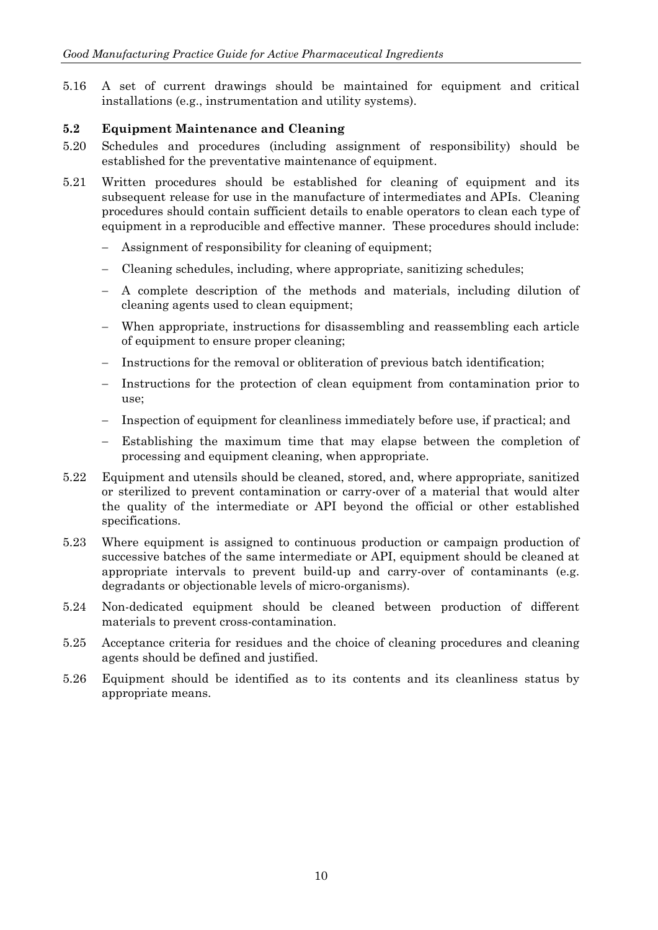<span id="page-15-0"></span>5.16 A set of current drawings should be maintained for equipment and critical installations (e.g., instrumentation and utility systems).

### **5.2 Equipment Maintenance and Cleaning**

- 5.20 Schedules and procedures (including assignment of responsibility) should be established for the preventative maintenance of equipment.
- 5.21 Written procedures should be established for cleaning of equipment and its subsequent release for use in the manufacture of intermediates and APIs. Cleaning procedures should contain sufficient details to enable operators to clean each type of equipment in a reproducible and effective manner. These procedures should include:
	- Assignment of responsibility for cleaning of equipment;
	- − Cleaning schedules, including, where appropriate, sanitizing schedules;
	- A complete description of the methods and materials, including dilution of cleaning agents used to clean equipment;
	- − When appropriate, instructions for disassembling and reassembling each article of equipment to ensure proper cleaning;
	- − Instructions for the removal or obliteration of previous batch identification;
	- Instructions for the protection of clean equipment from contamination prior to use;
	- − Inspection of equipment for cleanliness immediately before use, if practical; and
	- Establishing the maximum time that may elapse between the completion of processing and equipment cleaning, when appropriate.
- 5.22 Equipment and utensils should be cleaned, stored, and, where appropriate, sanitized or sterilized to prevent contamination or carry-over of a material that would alter the quality of the intermediate or API beyond the official or other established specifications.
- 5.23 Where equipment is assigned to continuous production or campaign production of successive batches of the same intermediate or API, equipment should be cleaned at appropriate intervals to prevent build-up and carry-over of contaminants (e.g. degradants or objectionable levels of micro-organisms).
- 5.24 Non-dedicated equipment should be cleaned between production of different materials to prevent cross-contamination.
- 5.25 Acceptance criteria for residues and the choice of cleaning procedures and cleaning agents should be defined and justified.
- 5.26 Equipment should be identified as to its contents and its cleanliness status by appropriate means.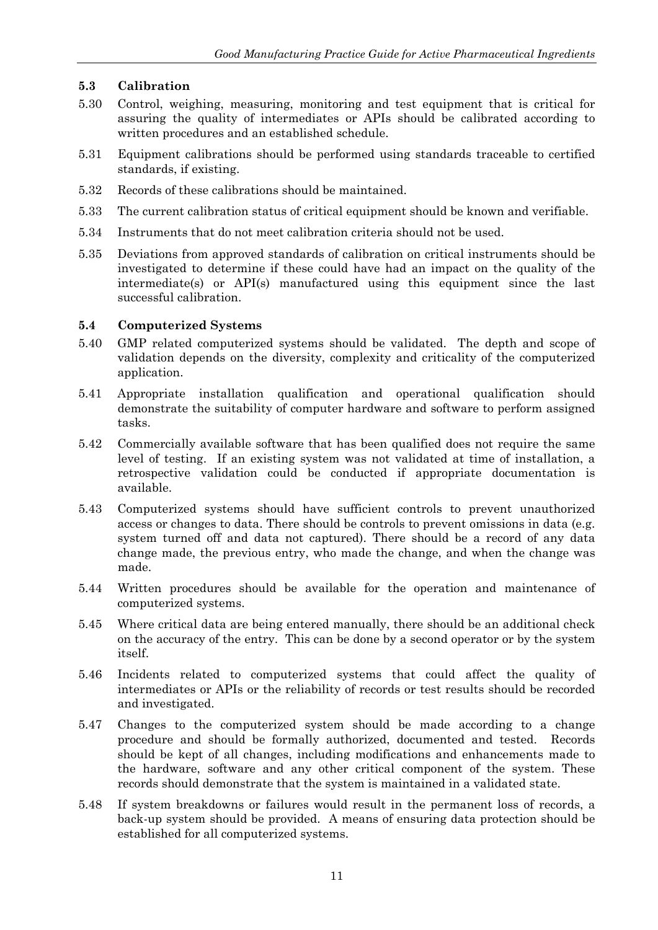## <span id="page-16-0"></span>**5.3 Calibration**

- 5.30 Control, weighing, measuring, monitoring and test equipment that is critical for assuring the quality of intermediates or APIs should be calibrated according to written procedures and an established schedule.
- 5.31 Equipment calibrations should be performed using standards traceable to certified standards, if existing.
- 5.32 Records of these calibrations should be maintained.
- 5.33 The current calibration status of critical equipment should be known and verifiable.
- 5.34 Instruments that do not meet calibration criteria should not be used.
- 5.35 Deviations from approved standards of calibration on critical instruments should be investigated to determine if these could have had an impact on the quality of the intermediate(s) or API(s) manufactured using this equipment since the last successful calibration.

### **5.4 Computerized Systems**

- 5.40 GMP related computerized systems should be validated. The depth and scope of validation depends on the diversity, complexity and criticality of the computerized application.
- 5.41 Appropriate installation qualification and operational qualification should demonstrate the suitability of computer hardware and software to perform assigned tasks.
- 5.42 Commercially available software that has been qualified does not require the same level of testing. If an existing system was not validated at time of installation, a retrospective validation could be conducted if appropriate documentation is available.
- 5.43 Computerized systems should have sufficient controls to prevent unauthorized access or changes to data. There should be controls to prevent omissions in data (e.g. system turned off and data not captured). There should be a record of any data change made, the previous entry, who made the change, and when the change was made.
- 5.44 Written procedures should be available for the operation and maintenance of computerized systems.
- 5.45 Where critical data are being entered manually, there should be an additional check on the accuracy of the entry. This can be done by a second operator or by the system itself.
- 5.46 Incidents related to computerized systems that could affect the quality of intermediates or APIs or the reliability of records or test results should be recorded and investigated.
- 5.47 Changes to the computerized system should be made according to a change procedure and should be formally authorized, documented and tested. Records should be kept of all changes, including modifications and enhancements made to the hardware, software and any other critical component of the system. These records should demonstrate that the system is maintained in a validated state.
- 5.48 If system breakdowns or failures would result in the permanent loss of records, a back-up system should be provided. A means of ensuring data protection should be established for all computerized systems.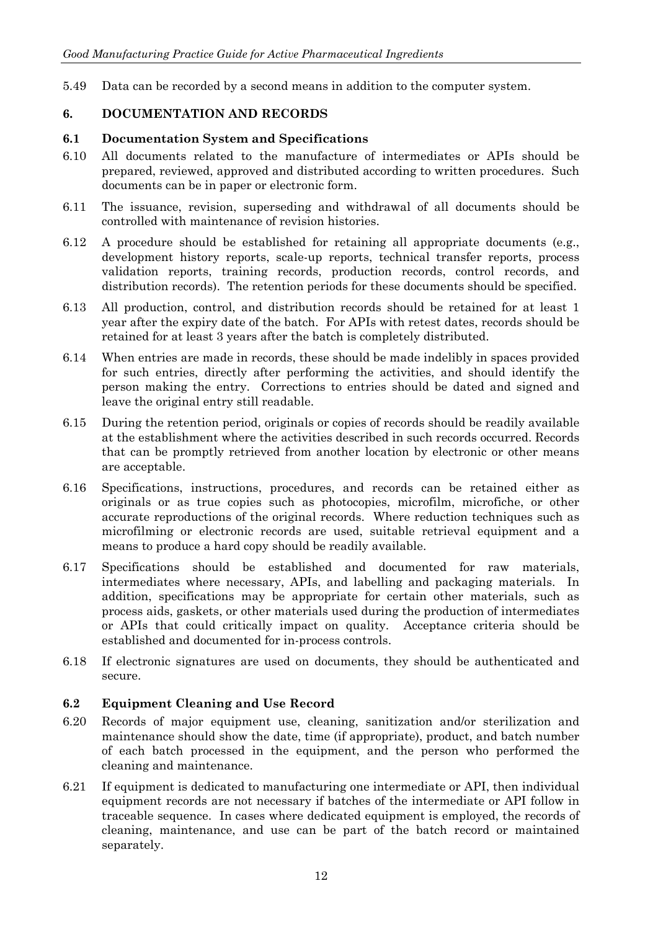<span id="page-17-0"></span>5.49 Data can be recorded by a second means in addition to the computer system.

### **6. DOCUMENTATION AND RECORDS**

#### **6.1 Documentation System and Specifications**

- 6.10 All documents related to the manufacture of intermediates or APIs should be prepared, reviewed, approved and distributed according to written procedures. Such documents can be in paper or electronic form.
- 6.11 The issuance, revision, superseding and withdrawal of all documents should be controlled with maintenance of revision histories.
- 6.12 A procedure should be established for retaining all appropriate documents (e.g., development history reports, scale-up reports, technical transfer reports, process validation reports, training records, production records, control records, and distribution records). The retention periods for these documents should be specified.
- 6.13 All production, control, and distribution records should be retained for at least 1 year after the expiry date of the batch. For APIs with retest dates, records should be retained for at least 3 years after the batch is completely distributed.
- 6.14 When entries are made in records, these should be made indelibly in spaces provided for such entries, directly after performing the activities, and should identify the person making the entry. Corrections to entries should be dated and signed and leave the original entry still readable.
- 6.15 During the retention period, originals or copies of records should be readily available at the establishment where the activities described in such records occurred. Records that can be promptly retrieved from another location by electronic or other means are acceptable.
- 6.16 Specifications, instructions, procedures, and records can be retained either as originals or as true copies such as photocopies, microfilm, microfiche, or other accurate reproductions of the original records. Where reduction techniques such as microfilming or electronic records are used, suitable retrieval equipment and a means to produce a hard copy should be readily available.
- 6.17 Specifications should be established and documented for raw materials, intermediates where necessary, APIs, and labelling and packaging materials. In addition, specifications may be appropriate for certain other materials, such as process aids, gaskets, or other materials used during the production of intermediates or APIs that could critically impact on quality. Acceptance criteria should be established and documented for in-process controls.
- 6.18 If electronic signatures are used on documents, they should be authenticated and secure.

#### **6.2 Equipment Cleaning and Use Record**

- 6.20 Records of major equipment use, cleaning, sanitization and/or sterilization and maintenance should show the date, time (if appropriate), product, and batch number of each batch processed in the equipment, and the person who performed the cleaning and maintenance.
- 6.21 If equipment is dedicated to manufacturing one intermediate or API, then individual equipment records are not necessary if batches of the intermediate or API follow in traceable sequence. In cases where dedicated equipment is employed, the records of cleaning, maintenance, and use can be part of the batch record or maintained separately.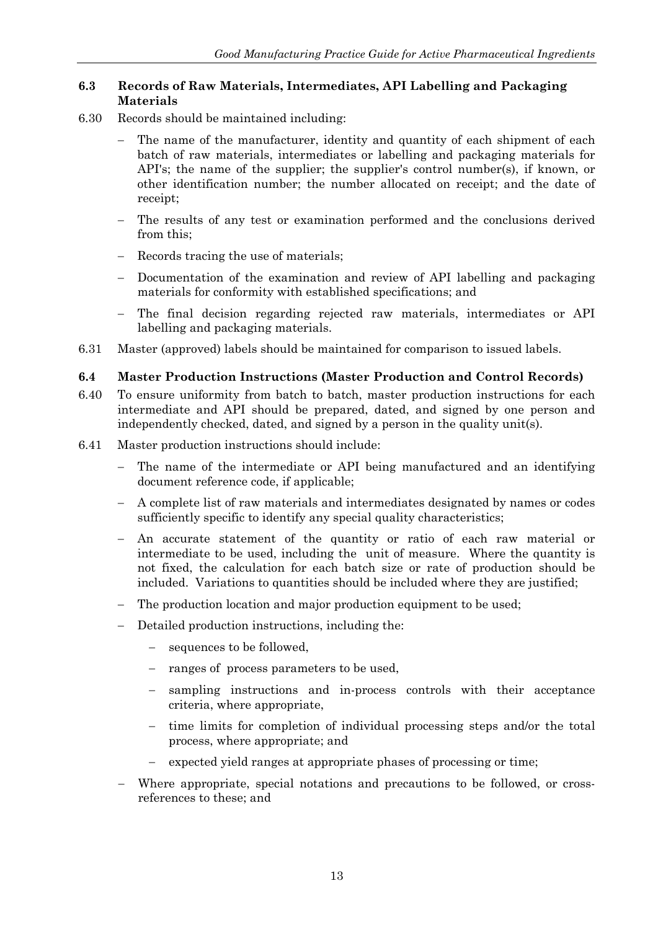### <span id="page-18-0"></span>**6.3 Records of Raw Materials, Intermediates, API Labelling and Packaging Materials**

- 6.30 Records should be maintained including:
	- The name of the manufacturer, identity and quantity of each shipment of each batch of raw materials, intermediates or labelling and packaging materials for API's; the name of the supplier; the supplier's control number(s), if known, or other identification number; the number allocated on receipt; and the date of receipt;
	- The results of any test or examination performed and the conclusions derived from this;
	- − Records tracing the use of materials;
	- − Documentation of the examination and review of API labelling and packaging materials for conformity with established specifications; and
	- The final decision regarding rejected raw materials, intermediates or API labelling and packaging materials.
- 6.31 Master (approved) labels should be maintained for comparison to issued labels.

#### **6.4 Master Production Instructions (Master Production and Control Records)**

- 6.40 To ensure uniformity from batch to batch, master production instructions for each intermediate and API should be prepared, dated, and signed by one person and independently checked, dated, and signed by a person in the quality unit(s).
- 6.41 Master production instructions should include:
	- The name of the intermediate or API being manufactured and an identifying document reference code, if applicable;
	- − A complete list of raw materials and intermediates designated by names or codes sufficiently specific to identify any special quality characteristics;
	- − An accurate statement of the quantity or ratio of each raw material or intermediate to be used, including the unit of measure. Where the quantity is not fixed, the calculation for each batch size or rate of production should be included. Variations to quantities should be included where they are justified;
	- The production location and major production equipment to be used:
	- Detailed production instructions, including the:
		- − sequences to be followed,
		- − ranges of process parameters to be used,
		- − sampling instructions and in-process controls with their acceptance criteria, where appropriate,
		- − time limits for completion of individual processing steps and/or the total process, where appropriate; and
		- expected yield ranges at appropriate phases of processing or time;
	- Where appropriate, special notations and precautions to be followed, or crossreferences to these; and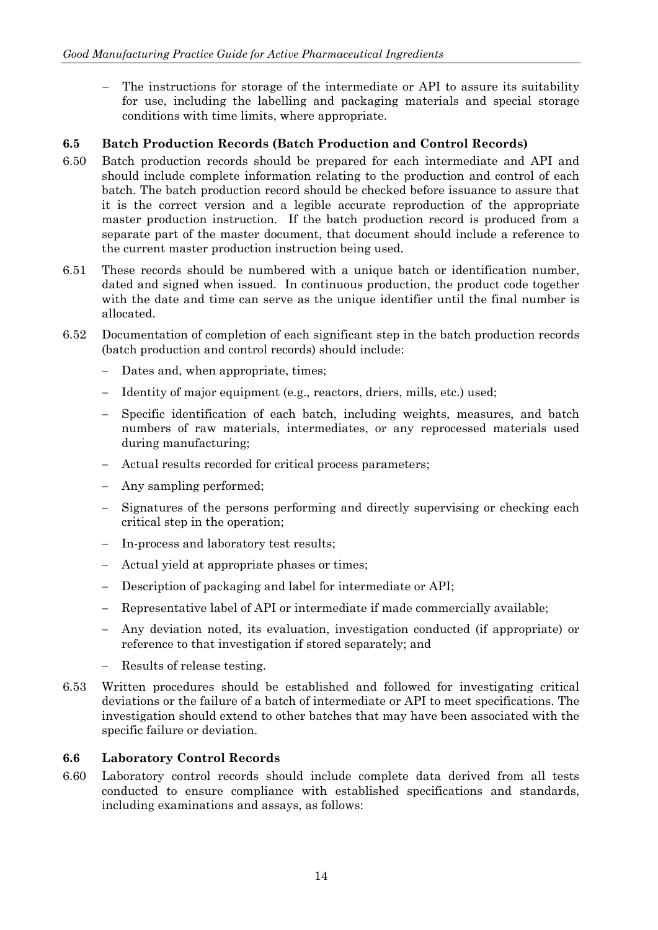<span id="page-19-0"></span>The instructions for storage of the intermediate or API to assure its suitability for use, including the labelling and packaging materials and special storage conditions with time limits, where appropriate.

## **6.5 Batch Production Records (Batch Production and Control Records)**

- 6.50 Batch production records should be prepared for each intermediate and API and should include complete information relating to the production and control of each batch. The batch production record should be checked before issuance to assure that it is the correct version and a legible accurate reproduction of the appropriate master production instruction. If the batch production record is produced from a separate part of the master document, that document should include a reference to the current master production instruction being used.
- 6.51 These records should be numbered with a unique batch or identification number, dated and signed when issued. In continuous production, the product code together with the date and time can serve as the unique identifier until the final number is allocated.
- 6.52 Documentation of completion of each significant step in the batch production records (batch production and control records) should include:
	- Dates and, when appropriate, times;
	- − Identity of major equipment (e.g., reactors, driers, mills, etc.) used;
	- − Specific identification of each batch, including weights, measures, and batch numbers of raw materials, intermediates, or any reprocessed materials used during manufacturing;
	- − Actual results recorded for critical process parameters;
	- − Any sampling performed;
	- − Signatures of the persons performing and directly supervising or checking each critical step in the operation;
	- In-process and laboratory test results:
	- − Actual yield at appropriate phases or times;
	- − Description of packaging and label for intermediate or API;
	- − Representative label of API or intermediate if made commercially available;
	- − Any deviation noted, its evaluation, investigation conducted (if appropriate) or reference to that investigation if stored separately; and
	- Results of release testing.
- 6.53 Written procedures should be established and followed for investigating critical deviations or the failure of a batch of intermediate or API to meet specifications. The investigation should extend to other batches that may have been associated with the specific failure or deviation.

#### **6.6 Laboratory Control Records**

6.60 Laboratory control records should include complete data derived from all tests conducted to ensure compliance with established specifications and standards, including examinations and assays, as follows: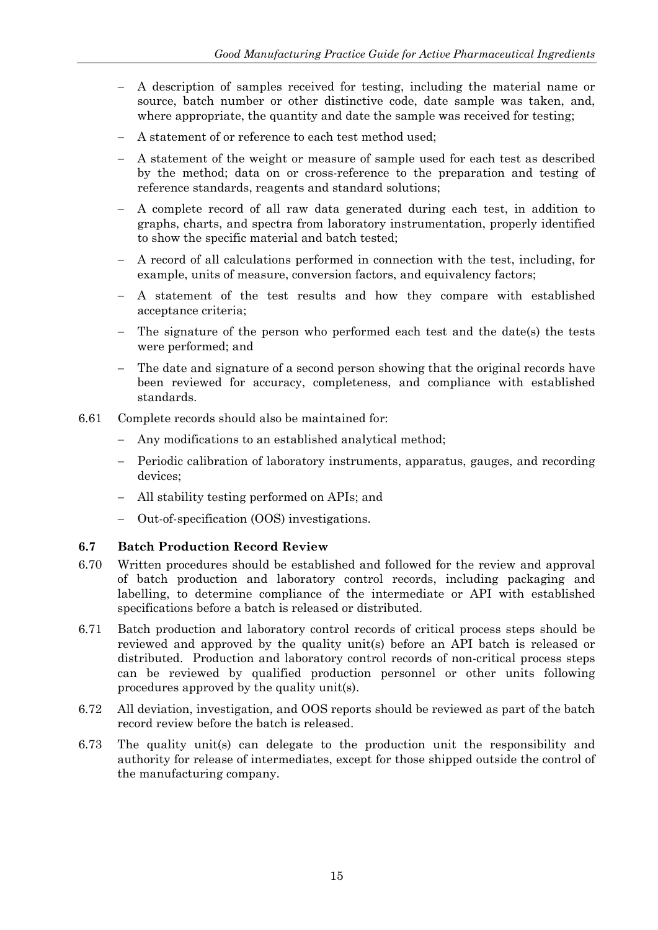- <span id="page-20-0"></span>− A description of samples received for testing, including the material name or source, batch number or other distinctive code, date sample was taken, and, where appropriate, the quantity and date the sample was received for testing;
- − A statement of or reference to each test method used;
- − A statement of the weight or measure of sample used for each test as described by the method; data on or cross-reference to the preparation and testing of reference standards, reagents and standard solutions;
- − A complete record of all raw data generated during each test, in addition to graphs, charts, and spectra from laboratory instrumentation, properly identified to show the specific material and batch tested;
- − A record of all calculations performed in connection with the test, including, for example, units of measure, conversion factors, and equivalency factors;
- − A statement of the test results and how they compare with established acceptance criteria;
- The signature of the person who performed each test and the date(s) the tests were performed; and
- The date and signature of a second person showing that the original records have been reviewed for accuracy, completeness, and compliance with established standards.
- 6.61 Complete records should also be maintained for:
	- Any modifications to an established analytical method;
	- − Periodic calibration of laboratory instruments, apparatus, gauges, and recording devices;
	- − All stability testing performed on APIs; and
	- − Out-of-specification (OOS) investigations.

## **6.7 Batch Production Record Review**

- 6.70 Written procedures should be established and followed for the review and approval of batch production and laboratory control records, including packaging and labelling, to determine compliance of the intermediate or API with established specifications before a batch is released or distributed.
- 6.71 Batch production and laboratory control records of critical process steps should be reviewed and approved by the quality unit(s) before an API batch is released or distributed. Production and laboratory control records of non-critical process steps can be reviewed by qualified production personnel or other units following procedures approved by the quality unit(s).
- 6.72 All deviation, investigation, and OOS reports should be reviewed as part of the batch record review before the batch is released.
- 6.73 The quality unit(s) can delegate to the production unit the responsibility and authority for release of intermediates, except for those shipped outside the control of the manufacturing company.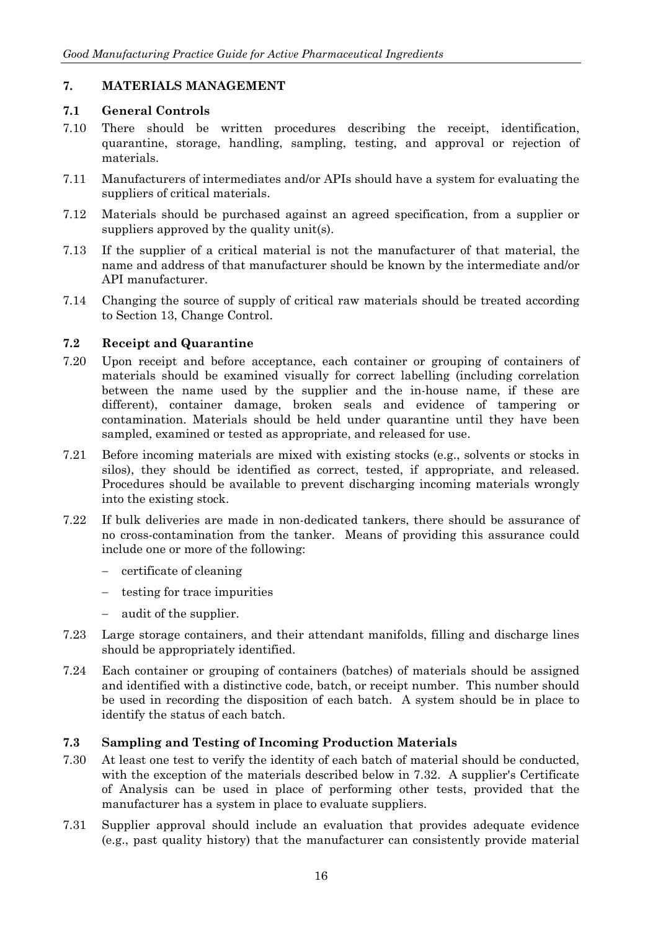## <span id="page-21-0"></span>**7. MATERIALS MANAGEMENT**

#### **7.1 General Controls**

- 7.10 There should be written procedures describing the receipt, identification, quarantine, storage, handling, sampling, testing, and approval or rejection of materials.
- 7.11 Manufacturers of intermediates and/or APIs should have a system for evaluating the suppliers of critical materials.
- 7.12 Materials should be purchased against an agreed specification, from a supplier or suppliers approved by the quality unit(s).
- 7.13 If the supplier of a critical material is not the manufacturer of that material, the name and address of that manufacturer should be known by the intermediate and/or API manufacturer.
- 7.14 Changing the source of supply of critical raw materials should be treated according to Section 13, Change Control.

#### **7.2 Receipt and Quarantine**

- 7.20 Upon receipt and before acceptance, each container or grouping of containers of materials should be examined visually for correct labelling (including correlation between the name used by the supplier and the in-house name, if these are different), container damage, broken seals and evidence of tampering or contamination. Materials should be held under quarantine until they have been sampled, examined or tested as appropriate, and released for use.
- 7.21 Before incoming materials are mixed with existing stocks (e.g., solvents or stocks in silos), they should be identified as correct, tested, if appropriate, and released. Procedures should be available to prevent discharging incoming materials wrongly into the existing stock.
- 7.22 If bulk deliveries are made in non-dedicated tankers, there should be assurance of no cross-contamination from the tanker. Means of providing this assurance could include one or more of the following:
	- − certificate of cleaning
	- − testing for trace impurities
	- audit of the supplier.
- 7.23 Large storage containers, and their attendant manifolds, filling and discharge lines should be appropriately identified.
- 7.24 Each container or grouping of containers (batches) of materials should be assigned and identified with a distinctive code, batch, or receipt number. This number should be used in recording the disposition of each batch. A system should be in place to identify the status of each batch.

#### **7.3 Sampling and Testing of Incoming Production Materials**

- 7.30 At least one test to verify the identity of each batch of material should be conducted, with the exception of the materials described below in 7.32. A supplier's Certificate of Analysis can be used in place of performing other tests, provided that the manufacturer has a system in place to evaluate suppliers.
- 7.31 Supplier approval should include an evaluation that provides adequate evidence (e.g., past quality history) that the manufacturer can consistently provide material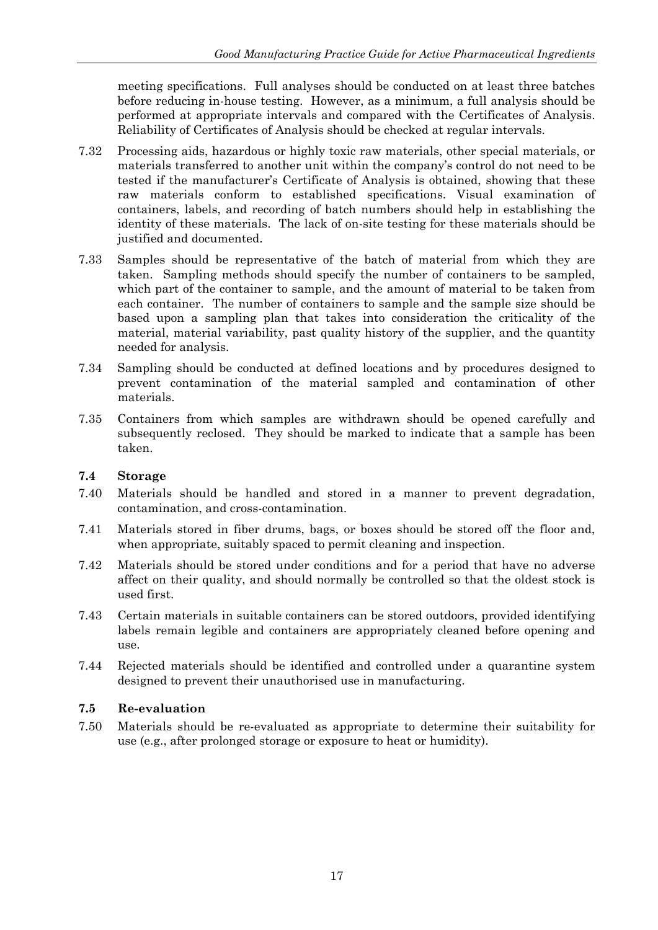<span id="page-22-0"></span>meeting specifications. Full analyses should be conducted on at least three batches before reducing in-house testing. However, as a minimum, a full analysis should be performed at appropriate intervals and compared with the Certificates of Analysis. Reliability of Certificates of Analysis should be checked at regular intervals.

- 7.32 Processing aids, hazardous or highly toxic raw materials, other special materials, or materials transferred to another unit within the company's control do not need to be tested if the manufacturer's Certificate of Analysis is obtained, showing that these raw materials conform to established specifications. Visual examination of containers, labels, and recording of batch numbers should help in establishing the identity of these materials. The lack of on-site testing for these materials should be justified and documented.
- 7.33 Samples should be representative of the batch of material from which they are taken. Sampling methods should specify the number of containers to be sampled, which part of the container to sample, and the amount of material to be taken from each container. The number of containers to sample and the sample size should be based upon a sampling plan that takes into consideration the criticality of the material, material variability, past quality history of the supplier, and the quantity needed for analysis.
- 7.34 Sampling should be conducted at defined locations and by procedures designed to prevent contamination of the material sampled and contamination of other materials.
- 7.35 Containers from which samples are withdrawn should be opened carefully and subsequently reclosed. They should be marked to indicate that a sample has been taken.

## **7.4 Storage**

- 7.40 Materials should be handled and stored in a manner to prevent degradation, contamination, and cross-contamination.
- 7.41 Materials stored in fiber drums, bags, or boxes should be stored off the floor and, when appropriate, suitably spaced to permit cleaning and inspection.
- 7.42 Materials should be stored under conditions and for a period that have no adverse affect on their quality, and should normally be controlled so that the oldest stock is used first.
- 7.43 Certain materials in suitable containers can be stored outdoors, provided identifying labels remain legible and containers are appropriately cleaned before opening and use.
- 7.44 Rejected materials should be identified and controlled under a quarantine system designed to prevent their unauthorised use in manufacturing.

## **7.5 Re-evaluation**

7.50 Materials should be re-evaluated as appropriate to determine their suitability for use (e.g., after prolonged storage or exposure to heat or humidity).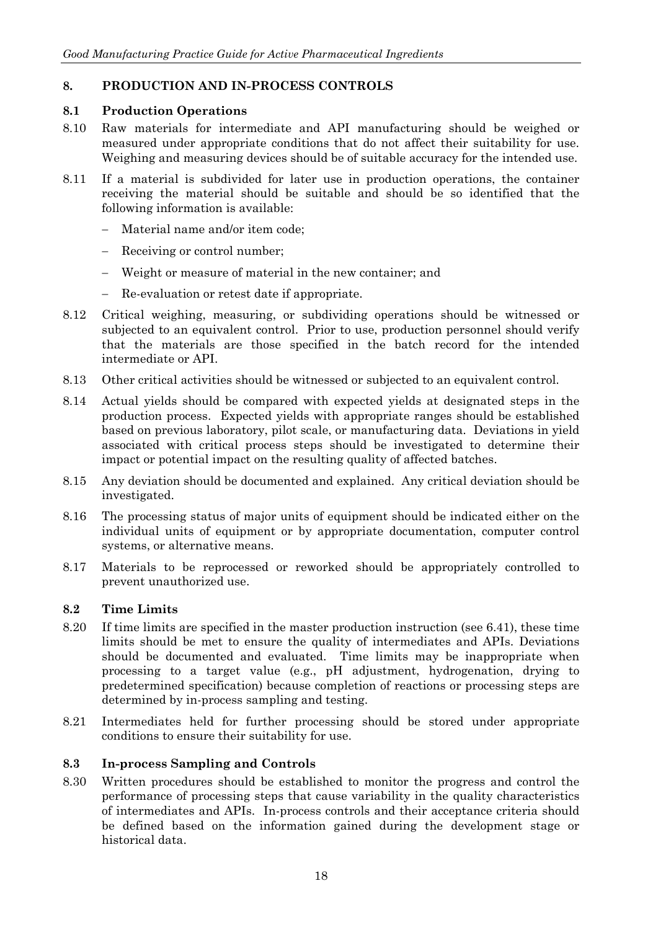## <span id="page-23-0"></span>**8. PRODUCTION AND IN-PROCESS CONTROLS**

#### **8.1 Production Operations**

- 8.10 Raw materials for intermediate and API manufacturing should be weighed or measured under appropriate conditions that do not affect their suitability for use. Weighing and measuring devices should be of suitable accuracy for the intended use.
- 8.11 If a material is subdivided for later use in production operations, the container receiving the material should be suitable and should be so identified that the following information is available:
	- − Material name and/or item code;
	- − Receiving or control number;
	- − Weight or measure of material in the new container; and
	- − Re-evaluation or retest date if appropriate.
- 8.12 Critical weighing, measuring, or subdividing operations should be witnessed or subjected to an equivalent control. Prior to use, production personnel should verify that the materials are those specified in the batch record for the intended intermediate or API.
- 8.13 Other critical activities should be witnessed or subjected to an equivalent control.
- 8.14 Actual yields should be compared with expected yields at designated steps in the production process. Expected yields with appropriate ranges should be established based on previous laboratory, pilot scale, or manufacturing data. Deviations in yield associated with critical process steps should be investigated to determine their impact or potential impact on the resulting quality of affected batches.
- 8.15 Any deviation should be documented and explained. Any critical deviation should be investigated.
- 8.16 The processing status of major units of equipment should be indicated either on the individual units of equipment or by appropriate documentation, computer control systems, or alternative means.
- 8.17 Materials to be reprocessed or reworked should be appropriately controlled to prevent unauthorized use.

## **8.2 Time Limits**

- 8.20 If time limits are specified in the master production instruction (see 6.41), these time limits should be met to ensure the quality of intermediates and APIs. Deviations should be documented and evaluated. Time limits may be inappropriate when processing to a target value (e.g., pH adjustment, hydrogenation, drying to predetermined specification) because completion of reactions or processing steps are determined by in-process sampling and testing.
- 8.21 Intermediates held for further processing should be stored under appropriate conditions to ensure their suitability for use.

## **8.3 In-process Sampling and Controls**

8.30 Written procedures should be established to monitor the progress and control the performance of processing steps that cause variability in the quality characteristics of intermediates and APIs. In-process controls and their acceptance criteria should be defined based on the information gained during the development stage or historical data.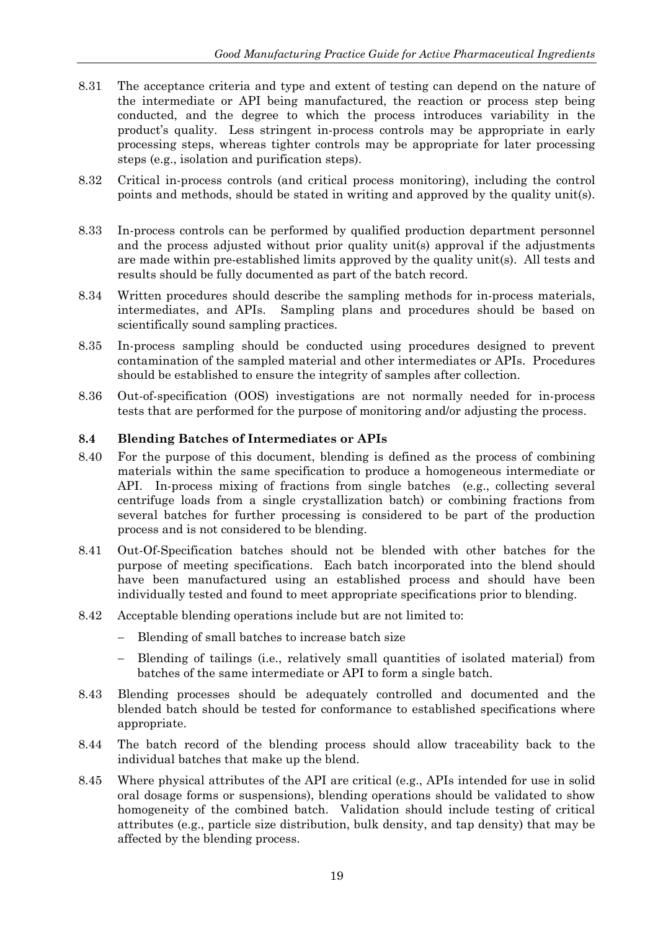- <span id="page-24-0"></span>8.31 The acceptance criteria and type and extent of testing can depend on the nature of the intermediate or API being manufactured, the reaction or process step being conducted, and the degree to which the process introduces variability in the product's quality. Less stringent in-process controls may be appropriate in early processing steps, whereas tighter controls may be appropriate for later processing steps (e.g., isolation and purification steps).
- 8.32 Critical in-process controls (and critical process monitoring), including the control points and methods, should be stated in writing and approved by the quality unit(s).
- 8.33 In-process controls can be performed by qualified production department personnel and the process adjusted without prior quality unit(s) approval if the adjustments are made within pre-established limits approved by the quality unit(s). All tests and results should be fully documented as part of the batch record.
- 8.34 Written procedures should describe the sampling methods for in-process materials, intermediates, and APIs. Sampling plans and procedures should be based on scientifically sound sampling practices.
- 8.35 In-process sampling should be conducted using procedures designed to prevent contamination of the sampled material and other intermediates or APIs. Procedures should be established to ensure the integrity of samples after collection.
- 8.36 Out-of-specification (OOS) investigations are not normally needed for in-process tests that are performed for the purpose of monitoring and/or adjusting the process.

### **8.4 Blending Batches of Intermediates or APIs**

- 8.40 For the purpose of this document, blending is defined as the process of combining materials within the same specification to produce a homogeneous intermediate or API. In-process mixing of fractions from single batches (e.g., collecting several centrifuge loads from a single crystallization batch) or combining fractions from several batches for further processing is considered to be part of the production process and is not considered to be blending.
- 8.41 Out-Of-Specification batches should not be blended with other batches for the purpose of meeting specifications. Each batch incorporated into the blend should have been manufactured using an established process and should have been individually tested and found to meet appropriate specifications prior to blending.
- 8.42 Acceptable blending operations include but are not limited to:
	- Blending of small batches to increase batch size
	- Blending of tailings (i.e., relatively small quantities of isolated material) from batches of the same intermediate or API to form a single batch.
- 8.43 Blending processes should be adequately controlled and documented and the blended batch should be tested for conformance to established specifications where appropriate.
- 8.44 The batch record of the blending process should allow traceability back to the individual batches that make up the blend.
- 8.45 Where physical attributes of the API are critical (e.g., APIs intended for use in solid oral dosage forms or suspensions), blending operations should be validated to show homogeneity of the combined batch. Validation should include testing of critical attributes (e.g., particle size distribution, bulk density, and tap density) that may be affected by the blending process.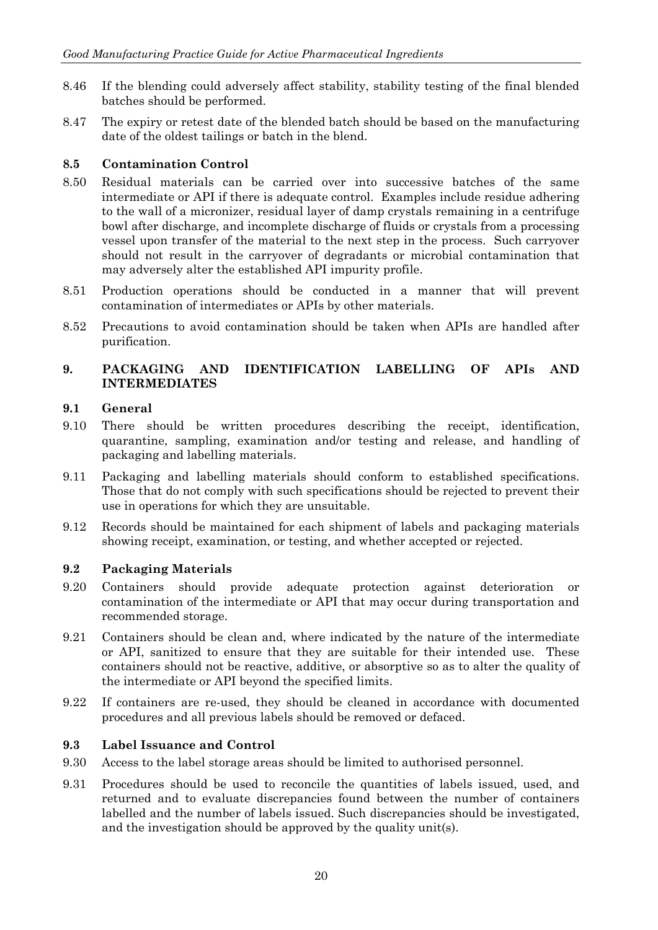- <span id="page-25-0"></span>8.46 If the blending could adversely affect stability, stability testing of the final blended batches should be performed.
- 8.47 The expiry or retest date of the blended batch should be based on the manufacturing date of the oldest tailings or batch in the blend.

### **8.5 Contamination Control**

- 8.50 Residual materials can be carried over into successive batches of the same intermediate or API if there is adequate control. Examples include residue adhering to the wall of a micronizer, residual layer of damp crystals remaining in a centrifuge bowl after discharge, and incomplete discharge of fluids or crystals from a processing vessel upon transfer of the material to the next step in the process. Such carryover should not result in the carryover of degradants or microbial contamination that may adversely alter the established API impurity profile.
- 8.51 Production operations should be conducted in a manner that will prevent contamination of intermediates or APIs by other materials.
- 8.52 Precautions to avoid contamination should be taken when APIs are handled after purification.

#### **9. PACKAGING AND IDENTIFICATION LABELLING OF APIs AND INTERMEDIATES**

#### **9.1 General**

- 9.10 There should be written procedures describing the receipt, identification, quarantine, sampling, examination and/or testing and release, and handling of packaging and labelling materials.
- 9.11 Packaging and labelling materials should conform to established specifications. Those that do not comply with such specifications should be rejected to prevent their use in operations for which they are unsuitable.
- 9.12 Records should be maintained for each shipment of labels and packaging materials showing receipt, examination, or testing, and whether accepted or rejected.

#### **9.2 Packaging Materials**

- 9.20 Containers should provide adequate protection against deterioration or contamination of the intermediate or API that may occur during transportation and recommended storage.
- 9.21 Containers should be clean and, where indicated by the nature of the intermediate or API, sanitized to ensure that they are suitable for their intended use. These containers should not be reactive, additive, or absorptive so as to alter the quality of the intermediate or API beyond the specified limits.
- 9.22 If containers are re-used, they should be cleaned in accordance with documented procedures and all previous labels should be removed or defaced.

#### **9.3 Label Issuance and Control**

- 9.30 Access to the label storage areas should be limited to authorised personnel.
- 9.31 Procedures should be used to reconcile the quantities of labels issued, used, and returned and to evaluate discrepancies found between the number of containers labelled and the number of labels issued. Such discrepancies should be investigated, and the investigation should be approved by the quality unit(s).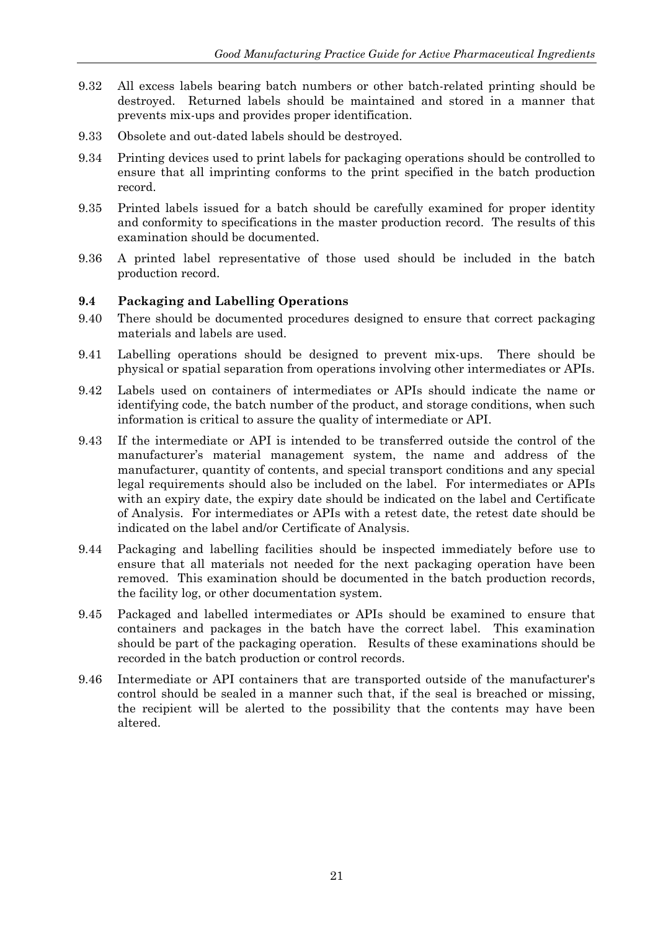- <span id="page-26-0"></span>9.32 All excess labels bearing batch numbers or other batch-related printing should be destroyed. Returned labels should be maintained and stored in a manner that prevents mix-ups and provides proper identification.
- 9.33 Obsolete and out-dated labels should be destroyed.
- 9.34 Printing devices used to print labels for packaging operations should be controlled to ensure that all imprinting conforms to the print specified in the batch production record.
- 9.35 Printed labels issued for a batch should be carefully examined for proper identity and conformity to specifications in the master production record. The results of this examination should be documented.
- 9.36 A printed label representative of those used should be included in the batch production record.

## **9.4 Packaging and Labelling Operations**

- 9.40 There should be documented procedures designed to ensure that correct packaging materials and labels are used.
- 9.41 Labelling operations should be designed to prevent mix-ups. There should be physical or spatial separation from operations involving other intermediates or APIs.
- 9.42 Labels used on containers of intermediates or APIs should indicate the name or identifying code, the batch number of the product, and storage conditions, when such information is critical to assure the quality of intermediate or API.
- 9.43 If the intermediate or API is intended to be transferred outside the control of the manufacturer's material management system, the name and address of the manufacturer, quantity of contents, and special transport conditions and any special legal requirements should also be included on the label. For intermediates or APIs with an expiry date, the expiry date should be indicated on the label and Certificate of Analysis. For intermediates or APIs with a retest date, the retest date should be indicated on the label and/or Certificate of Analysis.
- 9.44 Packaging and labelling facilities should be inspected immediately before use to ensure that all materials not needed for the next packaging operation have been removed. This examination should be documented in the batch production records, the facility log, or other documentation system.
- 9.45 Packaged and labelled intermediates or APIs should be examined to ensure that containers and packages in the batch have the correct label. This examination should be part of the packaging operation. Results of these examinations should be recorded in the batch production or control records.
- 9.46 Intermediate or API containers that are transported outside of the manufacturer's control should be sealed in a manner such that, if the seal is breached or missing, the recipient will be alerted to the possibility that the contents may have been altered.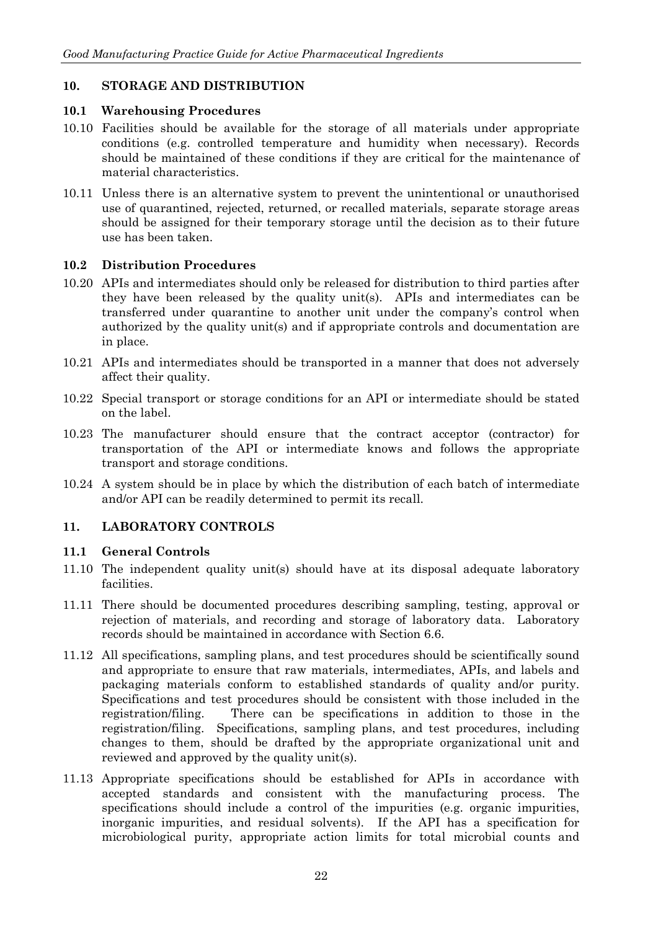## <span id="page-27-0"></span>**10. STORAGE AND DISTRIBUTION**

#### **10.1 Warehousing Procedures**

- 10.10 Facilities should be available for the storage of all materials under appropriate conditions (e.g. controlled temperature and humidity when necessary). Records should be maintained of these conditions if they are critical for the maintenance of material characteristics.
- 10.11 Unless there is an alternative system to prevent the unintentional or unauthorised use of quarantined, rejected, returned, or recalled materials, separate storage areas should be assigned for their temporary storage until the decision as to their future use has been taken.

#### **10.2 Distribution Procedures**

- 10.20 APIs and intermediates should only be released for distribution to third parties after they have been released by the quality unit(s). APIs and intermediates can be transferred under quarantine to another unit under the company's control when authorized by the quality unit(s) and if appropriate controls and documentation are in place.
- 10.21 APIs and intermediates should be transported in a manner that does not adversely affect their quality.
- 10.22 Special transport or storage conditions for an API or intermediate should be stated on the label.
- 10.23 The manufacturer should ensure that the contract acceptor (contractor) for transportation of the API or intermediate knows and follows the appropriate transport and storage conditions.
- 10.24 A system should be in place by which the distribution of each batch of intermediate and/or API can be readily determined to permit its recall.

#### **11. LABORATORY CONTROLS**

#### **11.1 General Controls**

- 11.10 The independent quality unit(s) should have at its disposal adequate laboratory facilities.
- 11.11 There should be documented procedures describing sampling, testing, approval or rejection of materials, and recording and storage of laboratory data. Laboratory records should be maintained in accordance with Section 6.6.
- 11.12 All specifications, sampling plans, and test procedures should be scientifically sound and appropriate to ensure that raw materials, intermediates, APIs, and labels and packaging materials conform to established standards of quality and/or purity. Specifications and test procedures should be consistent with those included in the registration/filing. There can be specifications in addition to those in the registration/filing. Specifications, sampling plans, and test procedures, including changes to them, should be drafted by the appropriate organizational unit and reviewed and approved by the quality unit(s).
- 11.13 Appropriate specifications should be established for APIs in accordance with accepted standards and consistent with the manufacturing process. The specifications should include a control of the impurities (e.g. organic impurities, inorganic impurities, and residual solvents). If the API has a specification for microbiological purity, appropriate action limits for total microbial counts and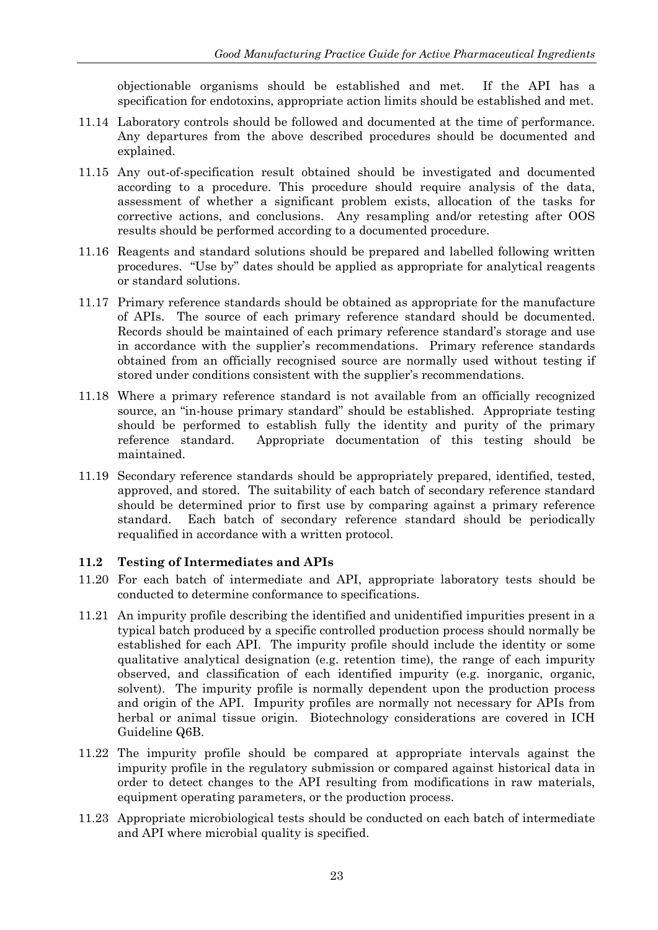objectionable organisms should be established and met. If the API has a specification for endotoxins, appropriate action limits should be established and met.

- <span id="page-28-0"></span>11.14 Laboratory controls should be followed and documented at the time of performance. Any departures from the above described procedures should be documented and explained.
- 11.15 Any out-of-specification result obtained should be investigated and documented according to a procedure. This procedure should require analysis of the data, assessment of whether a significant problem exists, allocation of the tasks for corrective actions, and conclusions. Any resampling and/or retesting after OOS results should be performed according to a documented procedure.
- 11.16 Reagents and standard solutions should be prepared and labelled following written procedures. "Use by" dates should be applied as appropriate for analytical reagents or standard solutions.
- 11.17 Primary reference standards should be obtained as appropriate for the manufacture of APIs. The source of each primary reference standard should be documented. Records should be maintained of each primary reference standard's storage and use in accordance with the supplier's recommendations. Primary reference standards obtained from an officially recognised source are normally used without testing if stored under conditions consistent with the supplier's recommendations.
- 11.18 Where a primary reference standard is not available from an officially recognized source, an "in-house primary standard" should be established. Appropriate testing should be performed to establish fully the identity and purity of the primary reference standard. Appropriate documentation of this testing should be maintained.
- 11.19 Secondary reference standards should be appropriately prepared, identified, tested, approved, and stored. The suitability of each batch of secondary reference standard should be determined prior to first use by comparing against a primary reference standard. Each batch of secondary reference standard should be periodically requalified in accordance with a written protocol.

## **11.2 Testing of Intermediates and APIs**

- 11.20 For each batch of intermediate and API, appropriate laboratory tests should be conducted to determine conformance to specifications.
- 11.21 An impurity profile describing the identified and unidentified impurities present in a typical batch produced by a specific controlled production process should normally be established for each API. The impurity profile should include the identity or some qualitative analytical designation (e.g. retention time), the range of each impurity observed, and classification of each identified impurity (e.g. inorganic, organic, solvent). The impurity profile is normally dependent upon the production process and origin of the API. Impurity profiles are normally not necessary for APIs from herbal or animal tissue origin. Biotechnology considerations are covered in ICH Guideline Q6B.
- 11.22 The impurity profile should be compared at appropriate intervals against the impurity profile in the regulatory submission or compared against historical data in order to detect changes to the API resulting from modifications in raw materials, equipment operating parameters, or the production process.
- 11.23 Appropriate microbiological tests should be conducted on each batch of intermediate and API where microbial quality is specified.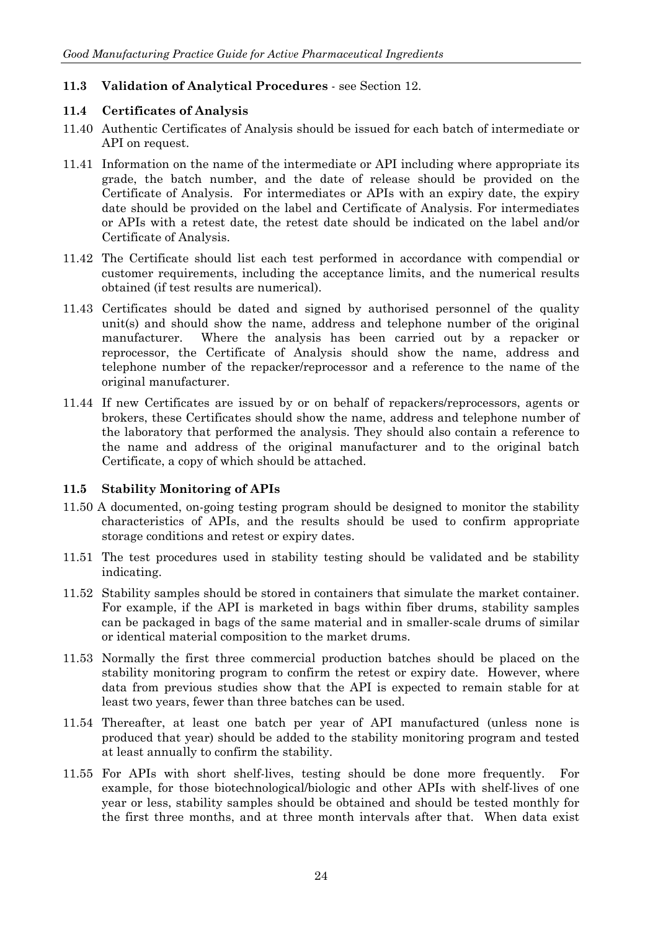## <span id="page-29-0"></span>**11.3 Validation of Analytical Procedures** - see Section 12.

#### **11.4 Certificates of Analysis**

- 11.40 Authentic Certificates of Analysis should be issued for each batch of intermediate or API on request.
- 11.41 Information on the name of the intermediate or API including where appropriate its grade, the batch number, and the date of release should be provided on the Certificate of Analysis. For intermediates or APIs with an expiry date, the expiry date should be provided on the label and Certificate of Analysis. For intermediates or APIs with a retest date, the retest date should be indicated on the label and/or Certificate of Analysis.
- 11.42 The Certificate should list each test performed in accordance with compendial or customer requirements, including the acceptance limits, and the numerical results obtained (if test results are numerical).
- 11.43 Certificates should be dated and signed by authorised personnel of the quality unit(s) and should show the name, address and telephone number of the original manufacturer. Where the analysis has been carried out by a repacker or reprocessor, the Certificate of Analysis should show the name, address and telephone number of the repacker/reprocessor and a reference to the name of the original manufacturer.
- 11.44 If new Certificates are issued by or on behalf of repackers/reprocessors, agents or brokers, these Certificates should show the name, address and telephone number of the laboratory that performed the analysis. They should also contain a reference to the name and address of the original manufacturer and to the original batch Certificate, a copy of which should be attached.

#### **11.5 Stability Monitoring of APIs**

- 11.50 A documented, on-going testing program should be designed to monitor the stability characteristics of APIs, and the results should be used to confirm appropriate storage conditions and retest or expiry dates.
- 11.51 The test procedures used in stability testing should be validated and be stability indicating.
- 11.52 Stability samples should be stored in containers that simulate the market container. For example, if the API is marketed in bags within fiber drums, stability samples can be packaged in bags of the same material and in smaller-scale drums of similar or identical material composition to the market drums.
- 11.53 Normally the first three commercial production batches should be placed on the stability monitoring program to confirm the retest or expiry date. However, where data from previous studies show that the API is expected to remain stable for at least two years, fewer than three batches can be used.
- 11.54 Thereafter, at least one batch per year of API manufactured (unless none is produced that year) should be added to the stability monitoring program and tested at least annually to confirm the stability.
- 11.55 For APIs with short shelf-lives, testing should be done more frequently. For example, for those biotechnological/biologic and other APIs with shelf-lives of one year or less, stability samples should be obtained and should be tested monthly for the first three months, and at three month intervals after that. When data exist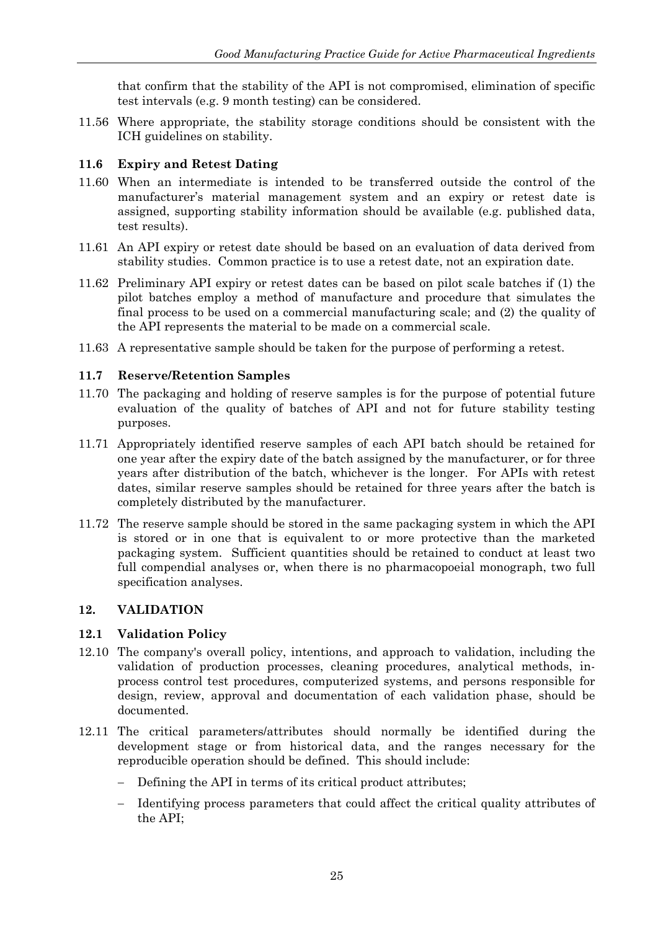that confirm that the stability of the API is not compromised, elimination of specific test intervals (e.g. 9 month testing) can be considered.

<span id="page-30-0"></span>11.56 Where appropriate, the stability storage conditions should be consistent with the ICH guidelines on stability.

## **11.6 Expiry and Retest Dating**

- 11.60 When an intermediate is intended to be transferred outside the control of the manufacturer's material management system and an expiry or retest date is assigned, supporting stability information should be available (e.g. published data, test results).
- 11.61 An API expiry or retest date should be based on an evaluation of data derived from stability studies. Common practice is to use a retest date, not an expiration date.
- 11.62 Preliminary API expiry or retest dates can be based on pilot scale batches if (1) the pilot batches employ a method of manufacture and procedure that simulates the final process to be used on a commercial manufacturing scale; and (2) the quality of the API represents the material to be made on a commercial scale.
- 11.63 A representative sample should be taken for the purpose of performing a retest.

### **11.7 Reserve/Retention Samples**

- 11.70 The packaging and holding of reserve samples is for the purpose of potential future evaluation of the quality of batches of API and not for future stability testing purposes.
- 11.71 Appropriately identified reserve samples of each API batch should be retained for one year after the expiry date of the batch assigned by the manufacturer, or for three years after distribution of the batch, whichever is the longer. For APIs with retest dates, similar reserve samples should be retained for three years after the batch is completely distributed by the manufacturer.
- 11.72 The reserve sample should be stored in the same packaging system in which the API is stored or in one that is equivalent to or more protective than the marketed packaging system. Sufficient quantities should be retained to conduct at least two full compendial analyses or, when there is no pharmacopoeial monograph, two full specification analyses.

#### **12. VALIDATION**

#### **12.1 Validation Policy**

- 12.10 The company's overall policy, intentions, and approach to validation, including the validation of production processes, cleaning procedures, analytical methods, inprocess control test procedures, computerized systems, and persons responsible for design, review, approval and documentation of each validation phase, should be documented.
- 12.11 The critical parameters/attributes should normally be identified during the development stage or from historical data, and the ranges necessary for the reproducible operation should be defined. This should include:
	- − Defining the API in terms of its critical product attributes;
	- − Identifying process parameters that could affect the critical quality attributes of the API;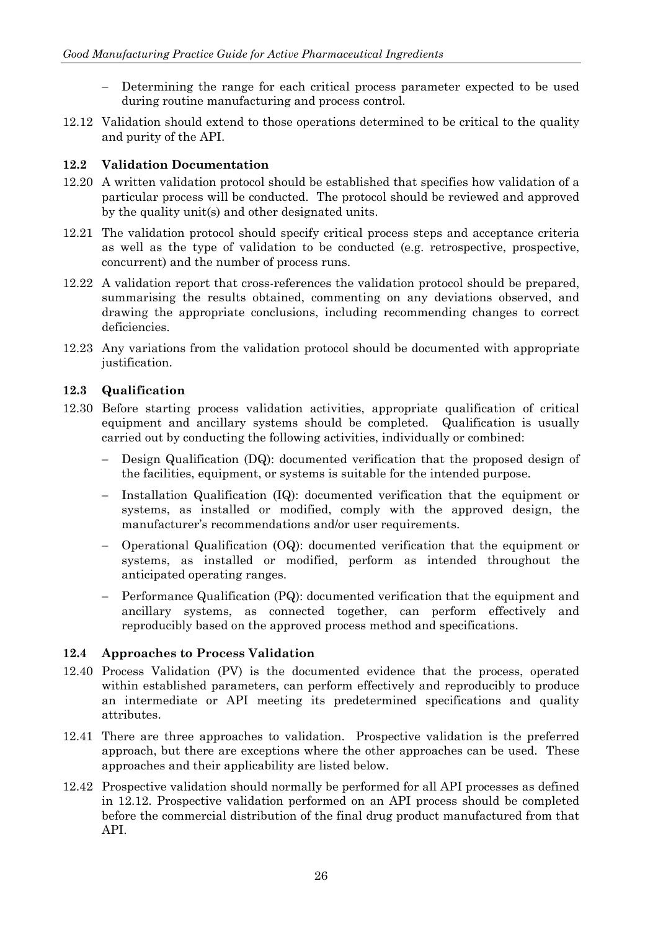- <span id="page-31-0"></span>Determining the range for each critical process parameter expected to be used during routine manufacturing and process control.
- 12.12 Validation should extend to those operations determined to be critical to the quality and purity of the API.

## **12.2 Validation Documentation**

- 12.20 A written validation protocol should be established that specifies how validation of a particular process will be conducted. The protocol should be reviewed and approved by the quality unit(s) and other designated units.
- 12.21 The validation protocol should specify critical process steps and acceptance criteria as well as the type of validation to be conducted (e.g. retrospective, prospective, concurrent) and the number of process runs.
- 12.22 A validation report that cross-references the validation protocol should be prepared, summarising the results obtained, commenting on any deviations observed, and drawing the appropriate conclusions, including recommending changes to correct deficiencies.
- 12.23 Any variations from the validation protocol should be documented with appropriate justification.

### **12.3 Qualification**

- 12.30 Before starting process validation activities, appropriate qualification of critical equipment and ancillary systems should be completed. Qualification is usually carried out by conducting the following activities, individually or combined:
	- Design Qualification (DQ): documented verification that the proposed design of the facilities, equipment, or systems is suitable for the intended purpose.
	- − Installation Qualification (IQ): documented verification that the equipment or systems, as installed or modified, comply with the approved design, the manufacturer's recommendations and/or user requirements.
	- − Operational Qualification (OQ): documented verification that the equipment or systems, as installed or modified, perform as intended throughout the anticipated operating ranges.
	- − Performance Qualification (PQ): documented verification that the equipment and ancillary systems, as connected together, can perform effectively and reproducibly based on the approved process method and specifications.

## **12.4 Approaches to Process Validation**

- 12.40 Process Validation (PV) is the documented evidence that the process, operated within established parameters, can perform effectively and reproducibly to produce an intermediate or API meeting its predetermined specifications and quality attributes.
- 12.41 There are three approaches to validation. Prospective validation is the preferred approach, but there are exceptions where the other approaches can be used. These approaches and their applicability are listed below.
- 12.42 Prospective validation should normally be performed for all API processes as defined in 12.12. Prospective validation performed on an API process should be completed before the commercial distribution of the final drug product manufactured from that API.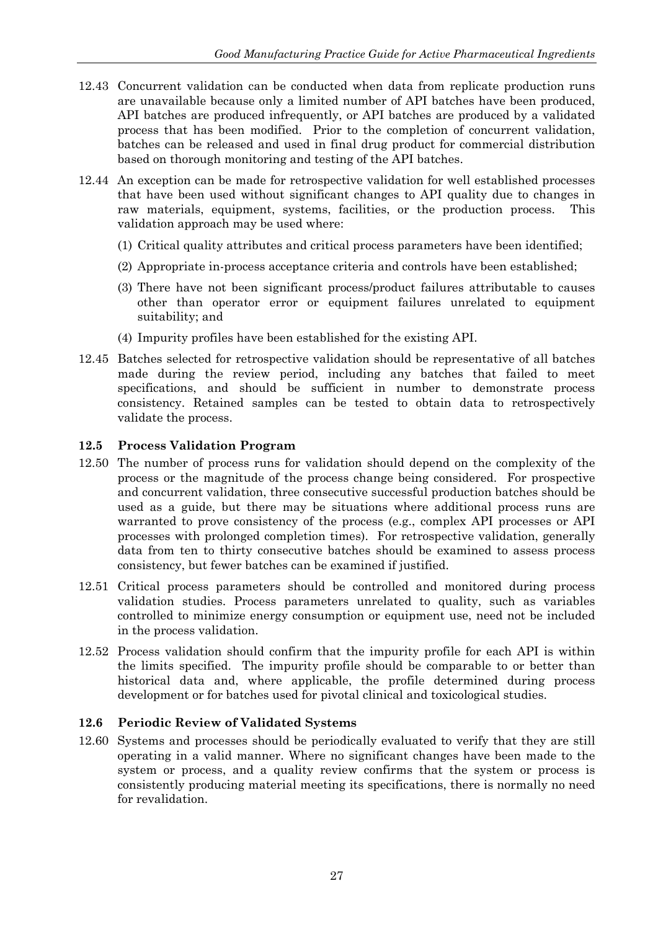- <span id="page-32-0"></span>12.43 Concurrent validation can be conducted when data from replicate production runs are unavailable because only a limited number of API batches have been produced, API batches are produced infrequently, or API batches are produced by a validated process that has been modified. Prior to the completion of concurrent validation, batches can be released and used in final drug product for commercial distribution based on thorough monitoring and testing of the API batches.
- 12.44 An exception can be made for retrospective validation for well established processes that have been used without significant changes to API quality due to changes in raw materials, equipment, systems, facilities, or the production process. This validation approach may be used where:
	- (1) Critical quality attributes and critical process parameters have been identified;
	- (2) Appropriate in-process acceptance criteria and controls have been established;
	- (3) There have not been significant process/product failures attributable to causes other than operator error or equipment failures unrelated to equipment suitability; and
	- (4) Impurity profiles have been established for the existing API.
- 12.45 Batches selected for retrospective validation should be representative of all batches made during the review period, including any batches that failed to meet specifications, and should be sufficient in number to demonstrate process consistency. Retained samples can be tested to obtain data to retrospectively validate the process.

### **12.5 Process Validation Program**

- 12.50 The number of process runs for validation should depend on the complexity of the process or the magnitude of the process change being considered. For prospective and concurrent validation, three consecutive successful production batches should be used as a guide, but there may be situations where additional process runs are warranted to prove consistency of the process (e.g., complex API processes or API processes with prolonged completion times). For retrospective validation, generally data from ten to thirty consecutive batches should be examined to assess process consistency, but fewer batches can be examined if justified.
- 12.51 Critical process parameters should be controlled and monitored during process validation studies. Process parameters unrelated to quality, such as variables controlled to minimize energy consumption or equipment use, need not be included in the process validation.
- 12.52 Process validation should confirm that the impurity profile for each API is within the limits specified. The impurity profile should be comparable to or better than historical data and, where applicable, the profile determined during process development or for batches used for pivotal clinical and toxicological studies.

## **12.6 Periodic Review of Validated Systems**

12.60 Systems and processes should be periodically evaluated to verify that they are still operating in a valid manner. Where no significant changes have been made to the system or process, and a quality review confirms that the system or process is consistently producing material meeting its specifications, there is normally no need for revalidation.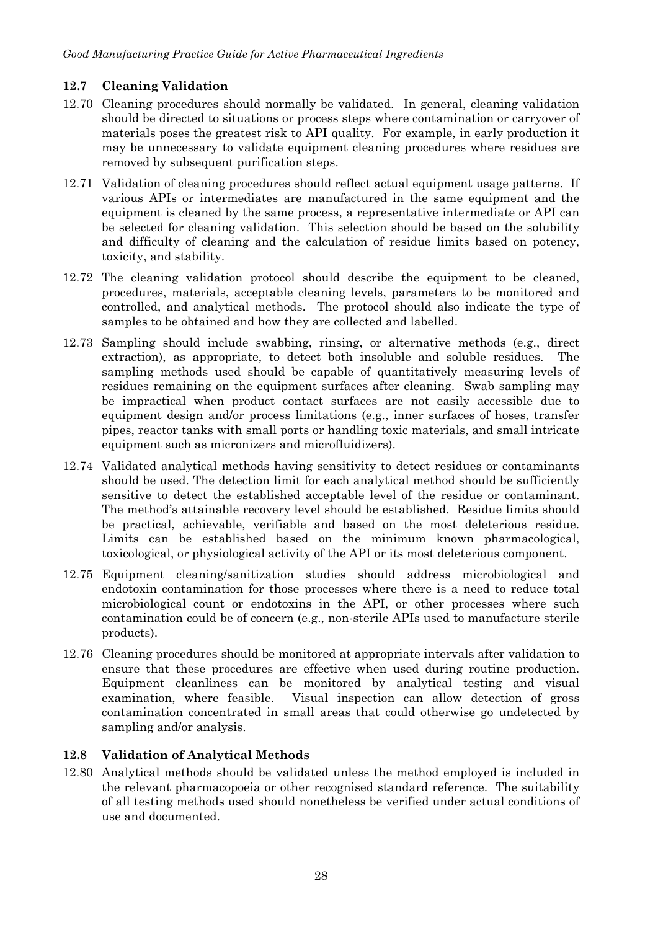## <span id="page-33-0"></span>**12.7 Cleaning Validation**

- 12.70 Cleaning procedures should normally be validated. In general, cleaning validation should be directed to situations or process steps where contamination or carryover of materials poses the greatest risk to API quality. For example, in early production it may be unnecessary to validate equipment cleaning procedures where residues are removed by subsequent purification steps.
- 12.71 Validation of cleaning procedures should reflect actual equipment usage patterns. If various APIs or intermediates are manufactured in the same equipment and the equipment is cleaned by the same process, a representative intermediate or API can be selected for cleaning validation. This selection should be based on the solubility and difficulty of cleaning and the calculation of residue limits based on potency, toxicity, and stability.
- 12.72 The cleaning validation protocol should describe the equipment to be cleaned, procedures, materials, acceptable cleaning levels, parameters to be monitored and controlled, and analytical methods. The protocol should also indicate the type of samples to be obtained and how they are collected and labelled.
- 12.73 Sampling should include swabbing, rinsing, or alternative methods (e.g., direct extraction), as appropriate, to detect both insoluble and soluble residues. The sampling methods used should be capable of quantitatively measuring levels of residues remaining on the equipment surfaces after cleaning. Swab sampling may be impractical when product contact surfaces are not easily accessible due to equipment design and/or process limitations (e.g., inner surfaces of hoses, transfer pipes, reactor tanks with small ports or handling toxic materials, and small intricate equipment such as micronizers and microfluidizers).
- 12.74 Validated analytical methods having sensitivity to detect residues or contaminants should be used. The detection limit for each analytical method should be sufficiently sensitive to detect the established acceptable level of the residue or contaminant. The method's attainable recovery level should be established. Residue limits should be practical, achievable, verifiable and based on the most deleterious residue. Limits can be established based on the minimum known pharmacological, toxicological, or physiological activity of the API or its most deleterious component.
- 12.75 Equipment cleaning/sanitization studies should address microbiological and endotoxin contamination for those processes where there is a need to reduce total microbiological count or endotoxins in the API, or other processes where such contamination could be of concern (e.g., non-sterile APIs used to manufacture sterile products).
- 12.76 Cleaning procedures should be monitored at appropriate intervals after validation to ensure that these procedures are effective when used during routine production. Equipment cleanliness can be monitored by analytical testing and visual examination, where feasible. Visual inspection can allow detection of gross contamination concentrated in small areas that could otherwise go undetected by sampling and/or analysis.

## **12.8 Validation of Analytical Methods**

12.80 Analytical methods should be validated unless the method employed is included in the relevant pharmacopoeia or other recognised standard reference. The suitability of all testing methods used should nonetheless be verified under actual conditions of use and documented.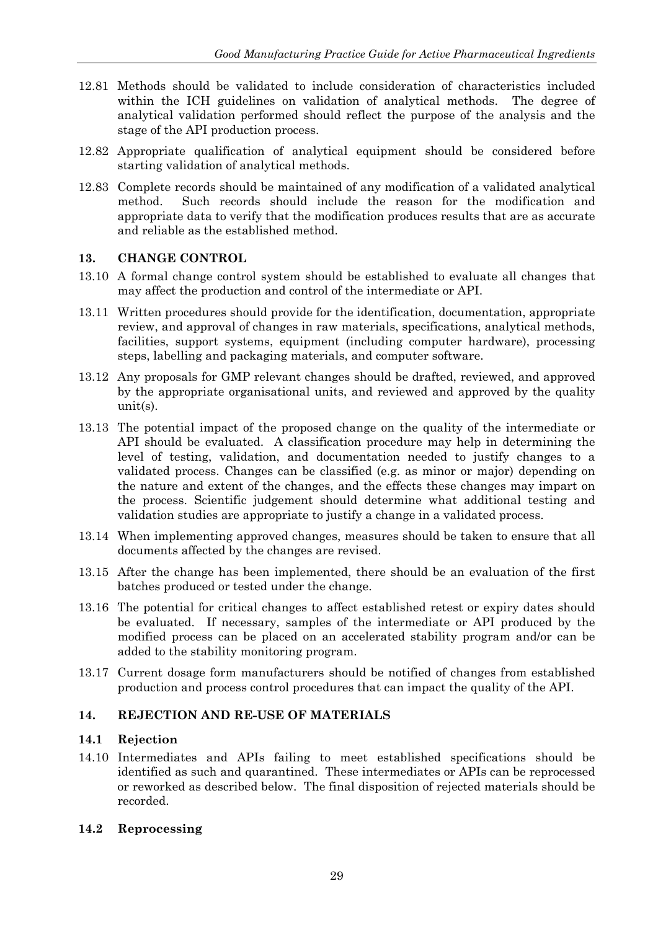- <span id="page-34-0"></span>12.81 Methods should be validated to include consideration of characteristics included within the ICH guidelines on validation of analytical methods. The degree of analytical validation performed should reflect the purpose of the analysis and the stage of the API production process.
- 12.82 Appropriate qualification of analytical equipment should be considered before starting validation of analytical methods.
- 12.83 Complete records should be maintained of any modification of a validated analytical method. Such records should include the reason for the modification and appropriate data to verify that the modification produces results that are as accurate and reliable as the established method.

### **13. CHANGE CONTROL**

- 13.10 A formal change control system should be established to evaluate all changes that may affect the production and control of the intermediate or API.
- 13.11 Written procedures should provide for the identification, documentation, appropriate review, and approval of changes in raw materials, specifications, analytical methods, facilities, support systems, equipment (including computer hardware), processing steps, labelling and packaging materials, and computer software.
- 13.12 Any proposals for GMP relevant changes should be drafted, reviewed, and approved by the appropriate organisational units, and reviewed and approved by the quality unit(s).
- 13.13 The potential impact of the proposed change on the quality of the intermediate or API should be evaluated. A classification procedure may help in determining the level of testing, validation, and documentation needed to justify changes to a validated process. Changes can be classified (e.g. as minor or major) depending on the nature and extent of the changes, and the effects these changes may impart on the process. Scientific judgement should determine what additional testing and validation studies are appropriate to justify a change in a validated process.
- 13.14 When implementing approved changes, measures should be taken to ensure that all documents affected by the changes are revised.
- 13.15 After the change has been implemented, there should be an evaluation of the first batches produced or tested under the change.
- 13.16 The potential for critical changes to affect established retest or expiry dates should be evaluated. If necessary, samples of the intermediate or API produced by the modified process can be placed on an accelerated stability program and/or can be added to the stability monitoring program.
- 13.17 Current dosage form manufacturers should be notified of changes from established production and process control procedures that can impact the quality of the API.

#### **14. REJECTION AND RE-USE OF MATERIALS**

#### **14.1 Rejection**

14.10 Intermediates and APIs failing to meet established specifications should be identified as such and quarantined. These intermediates or APIs can be reprocessed or reworked as described below. The final disposition of rejected materials should be recorded.

#### **14.2 Reprocessing**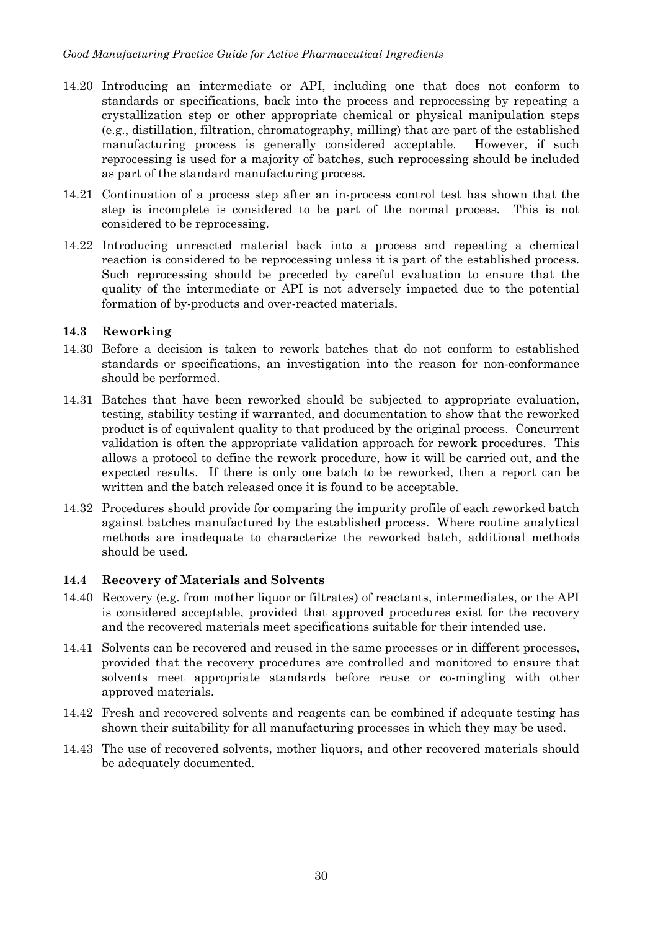- <span id="page-35-0"></span>14.20 Introducing an intermediate or API, including one that does not conform to standards or specifications, back into the process and reprocessing by repeating a crystallization step or other appropriate chemical or physical manipulation steps (e.g., distillation, filtration, chromatography, milling) that are part of the established manufacturing process is generally considered acceptable. However, if such reprocessing is used for a majority of batches, such reprocessing should be included as part of the standard manufacturing process.
- 14.21 Continuation of a process step after an in-process control test has shown that the step is incomplete is considered to be part of the normal process. This is not considered to be reprocessing.
- 14.22 Introducing unreacted material back into a process and repeating a chemical reaction is considered to be reprocessing unless it is part of the established process. Such reprocessing should be preceded by careful evaluation to ensure that the quality of the intermediate or API is not adversely impacted due to the potential formation of by-products and over-reacted materials.

#### **14.3 Reworking**

- 14.30 Before a decision is taken to rework batches that do not conform to established standards or specifications, an investigation into the reason for non-conformance should be performed.
- 14.31 Batches that have been reworked should be subjected to appropriate evaluation, testing, stability testing if warranted, and documentation to show that the reworked product is of equivalent quality to that produced by the original process. Concurrent validation is often the appropriate validation approach for rework procedures. This allows a protocol to define the rework procedure, how it will be carried out, and the expected results. If there is only one batch to be reworked, then a report can be written and the batch released once it is found to be acceptable.
- 14.32 Procedures should provide for comparing the impurity profile of each reworked batch against batches manufactured by the established process. Where routine analytical methods are inadequate to characterize the reworked batch, additional methods should be used.

#### **14.4 Recovery of Materials and Solvents**

- 14.40 Recovery (e.g. from mother liquor or filtrates) of reactants, intermediates, or the API is considered acceptable, provided that approved procedures exist for the recovery and the recovered materials meet specifications suitable for their intended use.
- 14.41 Solvents can be recovered and reused in the same processes or in different processes, provided that the recovery procedures are controlled and monitored to ensure that solvents meet appropriate standards before reuse or co-mingling with other approved materials.
- 14.42 Fresh and recovered solvents and reagents can be combined if adequate testing has shown their suitability for all manufacturing processes in which they may be used.
- 14.43 The use of recovered solvents, mother liquors, and other recovered materials should be adequately documented.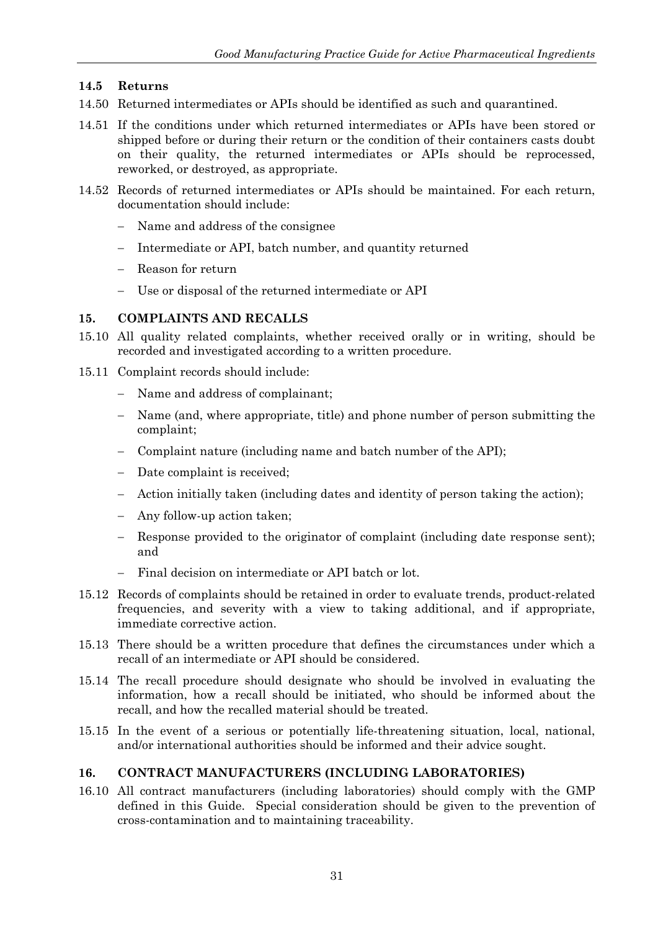## <span id="page-36-0"></span>**14.5 Returns**

- 14.50 Returned intermediates or APIs should be identified as such and quarantined.
- 14.51 If the conditions under which returned intermediates or APIs have been stored or shipped before or during their return or the condition of their containers casts doubt on their quality, the returned intermediates or APIs should be reprocessed, reworked, or destroyed, as appropriate.
- 14.52 Records of returned intermediates or APIs should be maintained. For each return, documentation should include:
	- − Name and address of the consignee
	- − Intermediate or API, batch number, and quantity returned
	- − Reason for return
	- − Use or disposal of the returned intermediate or API

## **15. COMPLAINTS AND RECALLS**

- 15.10 All quality related complaints, whether received orally or in writing, should be recorded and investigated according to a written procedure.
- 15.11 Complaint records should include:
	- − Name and address of complainant;
	- − Name (and, where appropriate, title) and phone number of person submitting the complaint;
	- − Complaint nature (including name and batch number of the API);
	- − Date complaint is received;
	- − Action initially taken (including dates and identity of person taking the action);
	- − Any follow-up action taken;
	- − Response provided to the originator of complaint (including date response sent); and
	- − Final decision on intermediate or API batch or lot.
- 15.12 Records of complaints should be retained in order to evaluate trends, product-related frequencies, and severity with a view to taking additional, and if appropriate, immediate corrective action.
- 15.13 There should be a written procedure that defines the circumstances under which a recall of an intermediate or API should be considered.
- 15.14 The recall procedure should designate who should be involved in evaluating the information, how a recall should be initiated, who should be informed about the recall, and how the recalled material should be treated.
- 15.15 In the event of a serious or potentially life-threatening situation, local, national, and/or international authorities should be informed and their advice sought.

## **16. CONTRACT MANUFACTURERS (INCLUDING LABORATORIES)**

16.10 All contract manufacturers (including laboratories) should comply with the GMP defined in this Guide. Special consideration should be given to the prevention of cross-contamination and to maintaining traceability.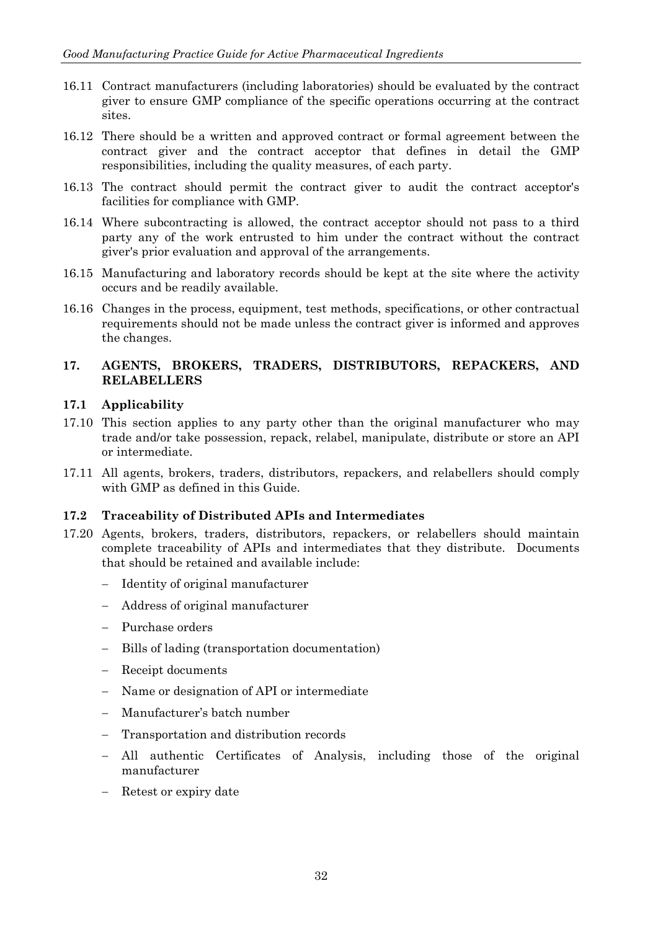- <span id="page-37-0"></span>16.11 Contract manufacturers (including laboratories) should be evaluated by the contract giver to ensure GMP compliance of the specific operations occurring at the contract sites.
- 16.12 There should be a written and approved contract or formal agreement between the contract giver and the contract acceptor that defines in detail the GMP responsibilities, including the quality measures, of each party.
- 16.13 The contract should permit the contract giver to audit the contract acceptor's facilities for compliance with GMP.
- 16.14 Where subcontracting is allowed, the contract acceptor should not pass to a third party any of the work entrusted to him under the contract without the contract giver's prior evaluation and approval of the arrangements.
- 16.15 Manufacturing and laboratory records should be kept at the site where the activity occurs and be readily available.
- 16.16 Changes in the process, equipment, test methods, specifications, or other contractual requirements should not be made unless the contract giver is informed and approves the changes.

#### **17. AGENTS, BROKERS, TRADERS, DISTRIBUTORS, REPACKERS, AND RELABELLERS**

### **17.1 Applicability**

- 17.10 This section applies to any party other than the original manufacturer who may trade and/or take possession, repack, relabel, manipulate, distribute or store an API or intermediate.
- 17.11 All agents, brokers, traders, distributors, repackers, and relabellers should comply with GMP as defined in this Guide.

#### **17.2 Traceability of Distributed APIs and Intermediates**

- 17.20 Agents, brokers, traders, distributors, repackers, or relabellers should maintain complete traceability of APIs and intermediates that they distribute. Documents that should be retained and available include:
	- − Identity of original manufacturer
	- − Address of original manufacturer
	- − Purchase orders
	- − Bills of lading (transportation documentation)
	- Receipt documents
	- − Name or designation of API or intermediate
	- − Manufacturer's batch number
	- − Transportation and distribution records
	- All authentic Certificates of Analysis, including those of the original manufacturer
	- Retest or expiry date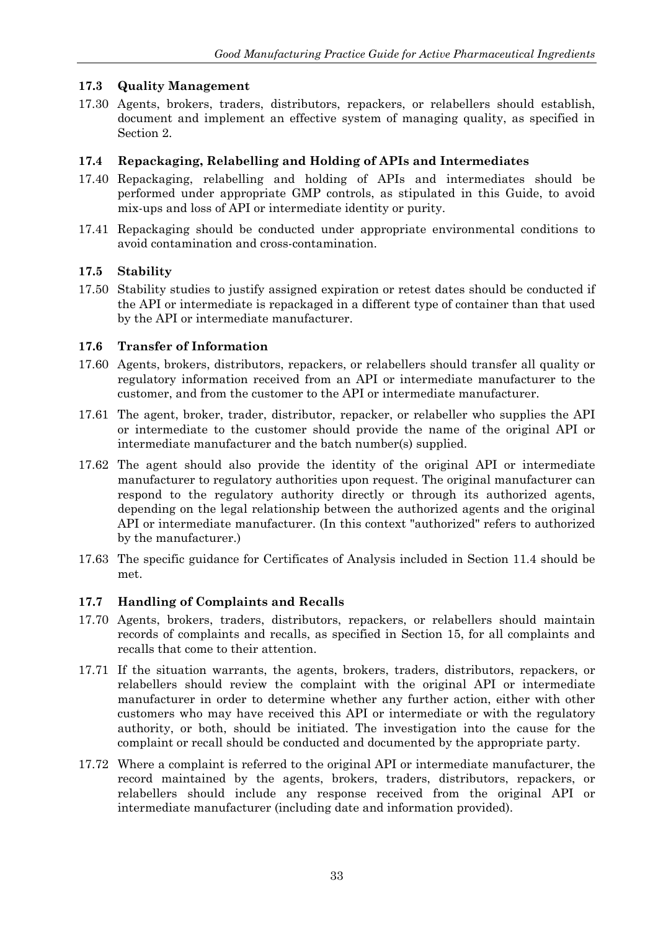## <span id="page-38-0"></span>**17.3 Quality Management**

17.30 Agents, brokers, traders, distributors, repackers, or relabellers should establish, document and implement an effective system of managing quality, as specified in Section 2.

## **17.4 Repackaging, Relabelling and Holding of APIs and Intermediates**

- 17.40 Repackaging, relabelling and holding of APIs and intermediates should be performed under appropriate GMP controls, as stipulated in this Guide, to avoid mix-ups and loss of API or intermediate identity or purity.
- 17.41 Repackaging should be conducted under appropriate environmental conditions to avoid contamination and cross-contamination.

## **17.5 Stability**

17.50 Stability studies to justify assigned expiration or retest dates should be conducted if the API or intermediate is repackaged in a different type of container than that used by the API or intermediate manufacturer.

## **17.6 Transfer of Information**

- 17.60 Agents, brokers, distributors, repackers, or relabellers should transfer all quality or regulatory information received from an API or intermediate manufacturer to the customer, and from the customer to the API or intermediate manufacturer.
- 17.61 The agent, broker, trader, distributor, repacker, or relabeller who supplies the API or intermediate to the customer should provide the name of the original API or intermediate manufacturer and the batch number(s) supplied.
- 17.62 The agent should also provide the identity of the original API or intermediate manufacturer to regulatory authorities upon request. The original manufacturer can respond to the regulatory authority directly or through its authorized agents, depending on the legal relationship between the authorized agents and the original API or intermediate manufacturer. (In this context "authorized" refers to authorized by the manufacturer.)
- 17.63 The specific guidance for Certificates of Analysis included in Section 11.4 should be met.

## **17.7 Handling of Complaints and Recalls**

- 17.70 Agents, brokers, traders, distributors, repackers, or relabellers should maintain records of complaints and recalls, as specified in Section 15, for all complaints and recalls that come to their attention.
- 17.71 If the situation warrants, the agents, brokers, traders, distributors, repackers, or relabellers should review the complaint with the original API or intermediate manufacturer in order to determine whether any further action, either with other customers who may have received this API or intermediate or with the regulatory authority, or both, should be initiated. The investigation into the cause for the complaint or recall should be conducted and documented by the appropriate party.
- 17.72 Where a complaint is referred to the original API or intermediate manufacturer, the record maintained by the agents, brokers, traders, distributors, repackers, or relabellers should include any response received from the original API or intermediate manufacturer (including date and information provided).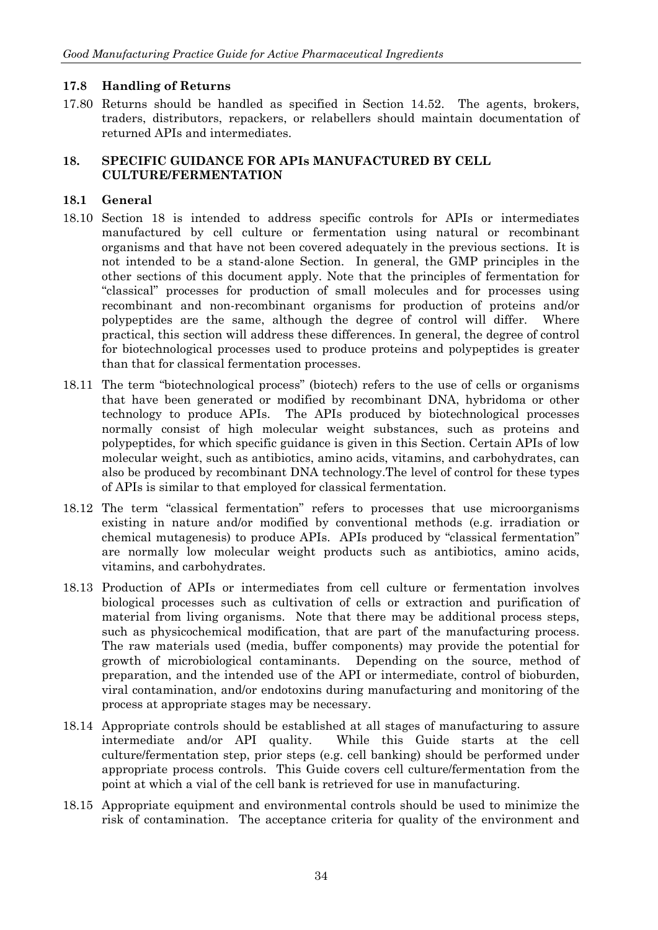#### <span id="page-39-0"></span>**17.8 Handling of Returns**

17.80 Returns should be handled as specified in Section 14.52. The agents, brokers, traders, distributors, repackers, or relabellers should maintain documentation of returned APIs and intermediates.

### **18. SPECIFIC GUIDANCE FOR APIs MANUFACTURED BY CELL CULTURE/FERMENTATION**

#### **18.1 General**

- 18.10 Section 18 is intended to address specific controls for APIs or intermediates manufactured by cell culture or fermentation using natural or recombinant organisms and that have not been covered adequately in the previous sections. It is not intended to be a stand-alone Section. In general, the GMP principles in the other sections of this document apply. Note that the principles of fermentation for "classical" processes for production of small molecules and for processes using recombinant and non-recombinant organisms for production of proteins and/or polypeptides are the same, although the degree of control will differ. Where practical, this section will address these differences. In general, the degree of control for biotechnological processes used to produce proteins and polypeptides is greater than that for classical fermentation processes.
- 18.11 The term "biotechnological process" (biotech) refers to the use of cells or organisms that have been generated or modified by recombinant DNA, hybridoma or other technology to produce APIs. The APIs produced by biotechnological processes normally consist of high molecular weight substances, such as proteins and polypeptides, for which specific guidance is given in this Section. Certain APIs of low molecular weight, such as antibiotics, amino acids, vitamins, and carbohydrates, can also be produced by recombinant DNA technology.The level of control for these types of APIs is similar to that employed for classical fermentation.
- 18.12 The term "classical fermentation" refers to processes that use microorganisms existing in nature and/or modified by conventional methods (e.g. irradiation or chemical mutagenesis) to produce APIs. APIs produced by "classical fermentation" are normally low molecular weight products such as antibiotics, amino acids, vitamins, and carbohydrates.
- 18.13 Production of APIs or intermediates from cell culture or fermentation involves biological processes such as cultivation of cells or extraction and purification of material from living organisms. Note that there may be additional process steps, such as physicochemical modification, that are part of the manufacturing process. The raw materials used (media, buffer components) may provide the potential for growth of microbiological contaminants. Depending on the source, method of preparation, and the intended use of the API or intermediate, control of bioburden, viral contamination, and/or endotoxins during manufacturing and monitoring of the process at appropriate stages may be necessary.
- 18.14 Appropriate controls should be established at all stages of manufacturing to assure intermediate and/or API quality. While this Guide starts at the cell culture/fermentation step, prior steps (e.g. cell banking) should be performed under appropriate process controls. This Guide covers cell culture/fermentation from the point at which a vial of the cell bank is retrieved for use in manufacturing.
- 18.15 Appropriate equipment and environmental controls should be used to minimize the risk of contamination. The acceptance criteria for quality of the environment and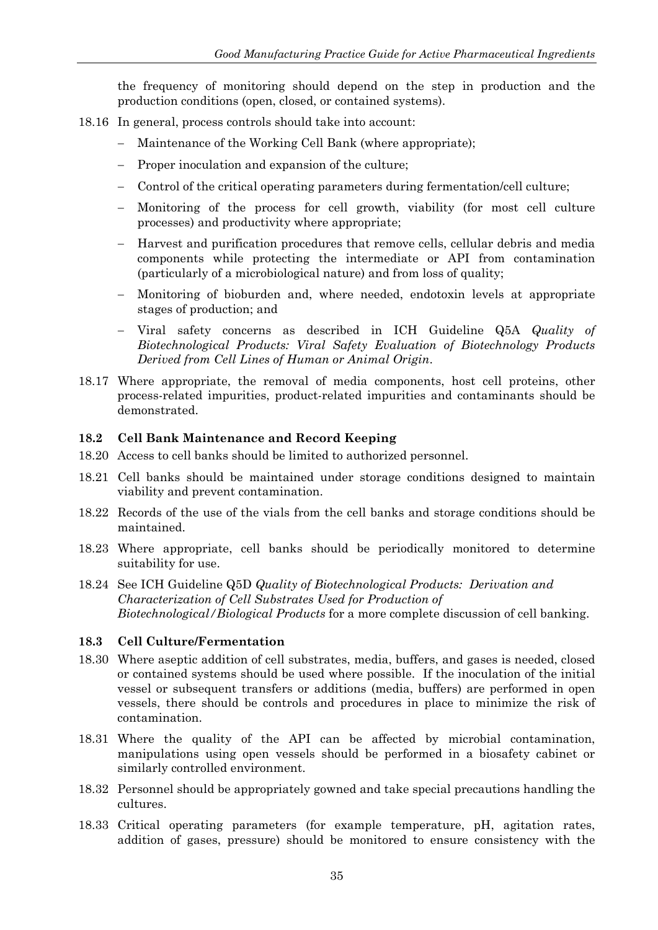the frequency of monitoring should depend on the step in production and the production conditions (open, closed, or contained systems).

- <span id="page-40-0"></span>18.16 In general, process controls should take into account:
	- − Maintenance of the Working Cell Bank (where appropriate);
	- − Proper inoculation and expansion of the culture;
	- − Control of the critical operating parameters during fermentation/cell culture;
	- − Monitoring of the process for cell growth, viability (for most cell culture processes) and productivity where appropriate;
	- − Harvest and purification procedures that remove cells, cellular debris and media components while protecting the intermediate or API from contamination (particularly of a microbiological nature) and from loss of quality;
	- − Monitoring of bioburden and, where needed, endotoxin levels at appropriate stages of production; and
	- − Viral safety concerns as described in ICH Guideline Q5A *Quality of Biotechnological Products: Viral Safety Evaluation of Biotechnology Products Derived from Cell Lines of Human or Animal Origin*.
- 18.17 Where appropriate, the removal of media components, host cell proteins, other process-related impurities, product-related impurities and contaminants should be demonstrated.

#### **18.2 Cell Bank Maintenance and Record Keeping**

- 18.20 Access to cell banks should be limited to authorized personnel.
- 18.21 Cell banks should be maintained under storage conditions designed to maintain viability and prevent contamination.
- 18.22 Records of the use of the vials from the cell banks and storage conditions should be maintained.
- 18.23 Where appropriate, cell banks should be periodically monitored to determine suitability for use.
- 18.24 See ICH Guideline Q5D *Quality of Biotechnological Products: Derivation and Characterization of Cell Substrates Used for Production of Biotechnological/Biological Products* for a more complete discussion of cell banking.

#### **18.3 Cell Culture/Fermentation**

- 18.30 Where aseptic addition of cell substrates, media, buffers, and gases is needed, closed or contained systems should be used where possible. If the inoculation of the initial vessel or subsequent transfers or additions (media, buffers) are performed in open vessels, there should be controls and procedures in place to minimize the risk of contamination.
- 18.31 Where the quality of the API can be affected by microbial contamination, manipulations using open vessels should be performed in a biosafety cabinet or similarly controlled environment.
- 18.32 Personnel should be appropriately gowned and take special precautions handling the cultures.
- 18.33 Critical operating parameters (for example temperature, pH, agitation rates, addition of gases, pressure) should be monitored to ensure consistency with the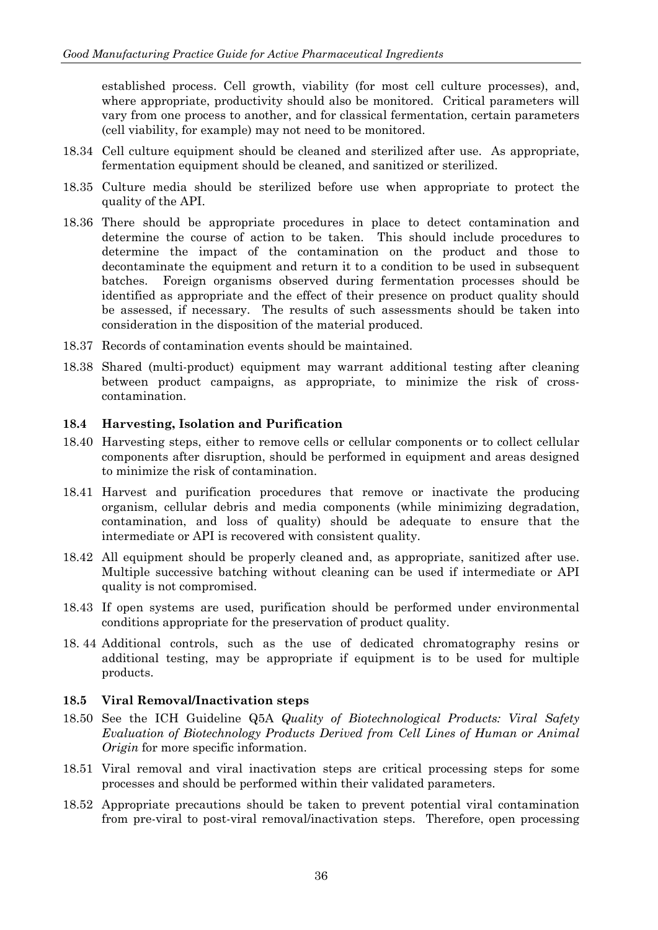<span id="page-41-0"></span>established process. Cell growth, viability (for most cell culture processes), and, where appropriate, productivity should also be monitored. Critical parameters will vary from one process to another, and for classical fermentation, certain parameters (cell viability, for example) may not need to be monitored.

- 18.34 Cell culture equipment should be cleaned and sterilized after use. As appropriate, fermentation equipment should be cleaned, and sanitized or sterilized.
- 18.35 Culture media should be sterilized before use when appropriate to protect the quality of the API.
- 18.36 There should be appropriate procedures in place to detect contamination and determine the course of action to be taken. This should include procedures to determine the impact of the contamination on the product and those to decontaminate the equipment and return it to a condition to be used in subsequent batches. Foreign organisms observed during fermentation processes should be identified as appropriate and the effect of their presence on product quality should be assessed, if necessary. The results of such assessments should be taken into consideration in the disposition of the material produced.
- 18.37 Records of contamination events should be maintained.
- 18.38 Shared (multi-product) equipment may warrant additional testing after cleaning between product campaigns, as appropriate, to minimize the risk of crosscontamination.

#### **18.4 Harvesting, Isolation and Purification**

- 18.40 Harvesting steps, either to remove cells or cellular components or to collect cellular components after disruption, should be performed in equipment and areas designed to minimize the risk of contamination.
- 18.41 Harvest and purification procedures that remove or inactivate the producing organism, cellular debris and media components (while minimizing degradation, contamination, and loss of quality) should be adequate to ensure that the intermediate or API is recovered with consistent quality.
- 18.42 All equipment should be properly cleaned and, as appropriate, sanitized after use. Multiple successive batching without cleaning can be used if intermediate or API quality is not compromised.
- 18.43 If open systems are used, purification should be performed under environmental conditions appropriate for the preservation of product quality.
- 18. 44 Additional controls, such as the use of dedicated chromatography resins or additional testing, may be appropriate if equipment is to be used for multiple products.

#### **18.5 Viral Removal/Inactivation steps**

- 18.50 See the ICH Guideline Q5A *Quality of Biotechnological Products: Viral Safety Evaluation of Biotechnology Products Derived from Cell Lines of Human or Animal Origin* for more specific information.
- 18.51 Viral removal and viral inactivation steps are critical processing steps for some processes and should be performed within their validated parameters.
- 18.52 Appropriate precautions should be taken to prevent potential viral contamination from pre-viral to post-viral removal/inactivation steps. Therefore, open processing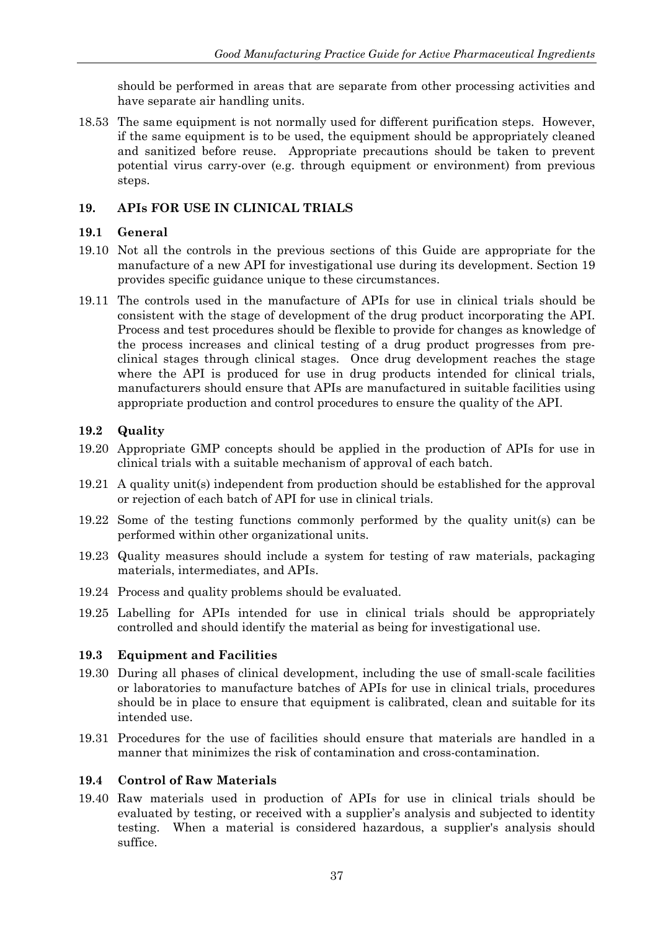should be performed in areas that are separate from other processing activities and have separate air handling units.

<span id="page-42-0"></span>18.53 The same equipment is not normally used for different purification steps. However, if the same equipment is to be used, the equipment should be appropriately cleaned and sanitized before reuse. Appropriate precautions should be taken to prevent potential virus carry-over (e.g. through equipment or environment) from previous steps.

## **19. APIs FOR USE IN CLINICAL TRIALS**

#### **19.1 General**

- 19.10 Not all the controls in the previous sections of this Guide are appropriate for the manufacture of a new API for investigational use during its development. Section 19 provides specific guidance unique to these circumstances.
- 19.11 The controls used in the manufacture of APIs for use in clinical trials should be consistent with the stage of development of the drug product incorporating the API. Process and test procedures should be flexible to provide for changes as knowledge of the process increases and clinical testing of a drug product progresses from preclinical stages through clinical stages. Once drug development reaches the stage where the API is produced for use in drug products intended for clinical trials, manufacturers should ensure that APIs are manufactured in suitable facilities using appropriate production and control procedures to ensure the quality of the API.

### **19.2 Quality**

- 19.20 Appropriate GMP concepts should be applied in the production of APIs for use in clinical trials with a suitable mechanism of approval of each batch.
- 19.21 A quality unit(s) independent from production should be established for the approval or rejection of each batch of API for use in clinical trials.
- 19.22 Some of the testing functions commonly performed by the quality unit(s) can be performed within other organizational units.
- 19.23 Quality measures should include a system for testing of raw materials, packaging materials, intermediates, and APIs.
- 19.24 Process and quality problems should be evaluated.
- 19.25 Labelling for APIs intended for use in clinical trials should be appropriately controlled and should identify the material as being for investigational use.

## **19.3 Equipment and Facilities**

- 19.30 During all phases of clinical development, including the use of small-scale facilities or laboratories to manufacture batches of APIs for use in clinical trials, procedures should be in place to ensure that equipment is calibrated, clean and suitable for its intended use.
- 19.31 Procedures for the use of facilities should ensure that materials are handled in a manner that minimizes the risk of contamination and cross-contamination.

## **19.4 Control of Raw Materials**

19.40 Raw materials used in production of APIs for use in clinical trials should be evaluated by testing, or received with a supplier's analysis and subjected to identity testing. When a material is considered hazardous, a supplier's analysis should suffice.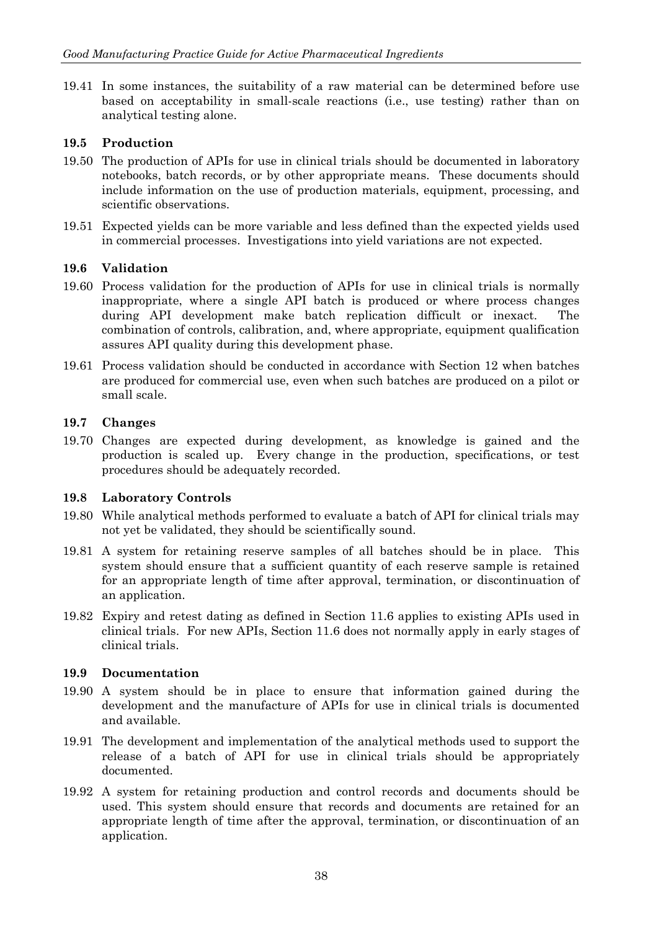<span id="page-43-0"></span>19.41 In some instances, the suitability of a raw material can be determined before use based on acceptability in small-scale reactions (i.e., use testing) rather than on analytical testing alone.

### **19.5 Production**

- 19.50 The production of APIs for use in clinical trials should be documented in laboratory notebooks, batch records, or by other appropriate means. These documents should include information on the use of production materials, equipment, processing, and scientific observations.
- 19.51 Expected yields can be more variable and less defined than the expected yields used in commercial processes. Investigations into yield variations are not expected.

### **19.6 Validation**

- 19.60 Process validation for the production of APIs for use in clinical trials is normally inappropriate, where a single API batch is produced or where process changes during API development make batch replication difficult or inexact. The combination of controls, calibration, and, where appropriate, equipment qualification assures API quality during this development phase.
- 19.61 Process validation should be conducted in accordance with Section 12 when batches are produced for commercial use, even when such batches are produced on a pilot or small scale.

### **19.7 Changes**

19.70 Changes are expected during development, as knowledge is gained and the production is scaled up. Every change in the production, specifications, or test procedures should be adequately recorded.

#### **19.8 Laboratory Controls**

- 19.80 While analytical methods performed to evaluate a batch of API for clinical trials may not yet be validated, they should be scientifically sound.
- 19.81 A system for retaining reserve samples of all batches should be in place. This system should ensure that a sufficient quantity of each reserve sample is retained for an appropriate length of time after approval, termination, or discontinuation of an application.
- 19.82 Expiry and retest dating as defined in Section 11.6 applies to existing APIs used in clinical trials. For new APIs, Section 11.6 does not normally apply in early stages of clinical trials.

#### **19.9 Documentation**

- 19.90 A system should be in place to ensure that information gained during the development and the manufacture of APIs for use in clinical trials is documented and available.
- 19.91 The development and implementation of the analytical methods used to support the release of a batch of API for use in clinical trials should be appropriately documented.
- 19.92 A system for retaining production and control records and documents should be used. This system should ensure that records and documents are retained for an appropriate length of time after the approval, termination, or discontinuation of an application.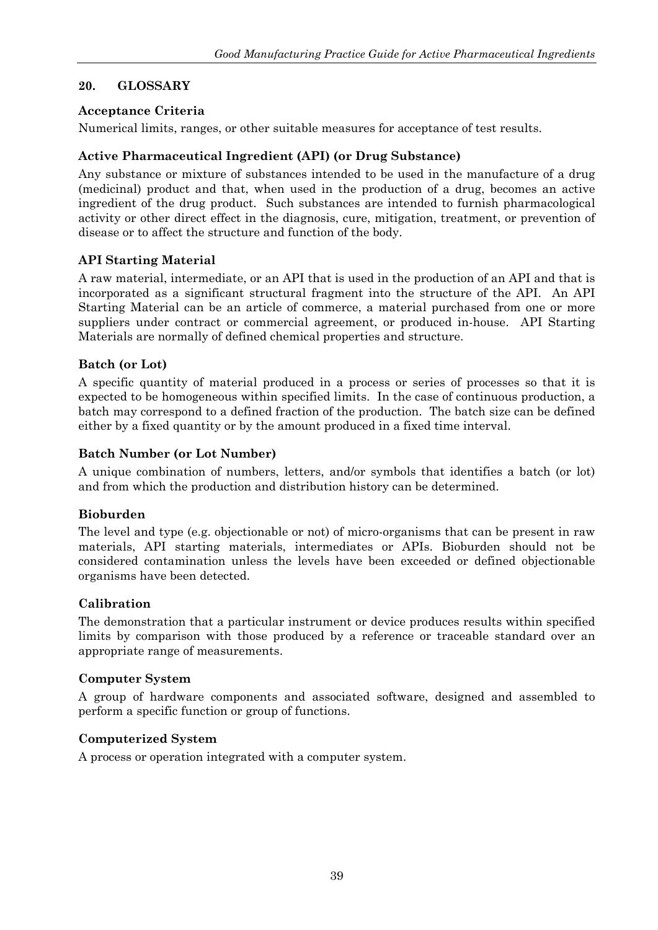## <span id="page-44-0"></span>**20. GLOSSARY**

#### **Acceptance Criteria**

Numerical limits, ranges, or other suitable measures for acceptance of test results.

## **Active Pharmaceutical Ingredient (API) (or Drug Substance)**

Any substance or mixture of substances intended to be used in the manufacture of a drug (medicinal) product and that, when used in the production of a drug, becomes an active ingredient of the drug product. Such substances are intended to furnish pharmacological activity or other direct effect in the diagnosis, cure, mitigation, treatment, or prevention of disease or to affect the structure and function of the body.

## **API Starting Material**

A raw material, intermediate, or an API that is used in the production of an API and that is incorporated as a significant structural fragment into the structure of the API. An API Starting Material can be an article of commerce, a material purchased from one or more suppliers under contract or commercial agreement, or produced in-house. API Starting Materials are normally of defined chemical properties and structure.

### **Batch (or Lot)**

A specific quantity of material produced in a process or series of processes so that it is expected to be homogeneous within specified limits. In the case of continuous production, a batch may correspond to a defined fraction of the production. The batch size can be defined either by a fixed quantity or by the amount produced in a fixed time interval.

### **Batch Number (or Lot Number)**

A unique combination of numbers, letters, and/or symbols that identifies a batch (or lot) and from which the production and distribution history can be determined.

#### **Bioburden**

The level and type (e.g. objectionable or not) of micro-organisms that can be present in raw materials, API starting materials, intermediates or APIs. Bioburden should not be considered contamination unless the levels have been exceeded or defined objectionable organisms have been detected.

#### **Calibration**

The demonstration that a particular instrument or device produces results within specified limits by comparison with those produced by a reference or traceable standard over an appropriate range of measurements.

#### **Computer System**

A group of hardware components and associated software, designed and assembled to perform a specific function or group of functions.

## **Computerized System**

A process or operation integrated with a computer system.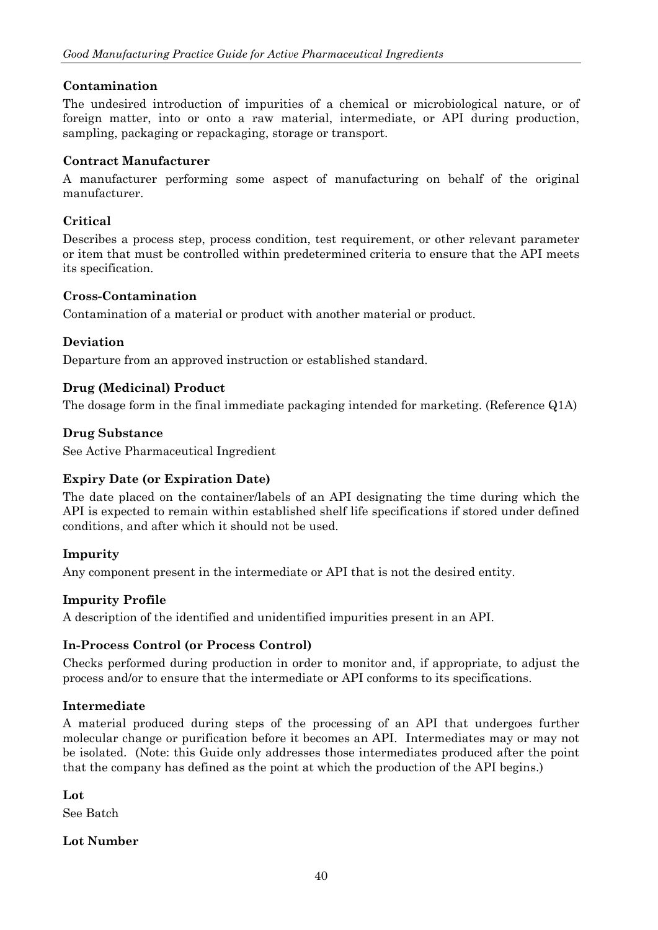## **Contamination**

The undesired introduction of impurities of a chemical or microbiological nature, or of foreign matter, into or onto a raw material, intermediate, or API during production, sampling, packaging or repackaging, storage or transport.

## **Contract Manufacturer**

A manufacturer performing some aspect of manufacturing on behalf of the original manufacturer.

## **Critical**

Describes a process step, process condition, test requirement, or other relevant parameter or item that must be controlled within predetermined criteria to ensure that the API meets its specification.

### **Cross-Contamination**

Contamination of a material or product with another material or product.

## **Deviation**

Departure from an approved instruction or established standard.

## **Drug (Medicinal) Product**

The dosage form in the final immediate packaging intended for marketing. (Reference Q1A)

### **Drug Substance**

See Active Pharmaceutical Ingredient

## **Expiry Date (or Expiration Date)**

The date placed on the container/labels of an API designating the time during which the API is expected to remain within established shelf life specifications if stored under defined conditions, and after which it should not be used.

## **Impurity**

Any component present in the intermediate or API that is not the desired entity.

## **Impurity Profile**

A description of the identified and unidentified impurities present in an API.

#### **In-Process Control (or Process Control)**

Checks performed during production in order to monitor and, if appropriate, to adjust the process and/or to ensure that the intermediate or API conforms to its specifications.

## **Intermediate**

A material produced during steps of the processing of an API that undergoes further molecular change or purification before it becomes an API. Intermediates may or may not be isolated. (Note: this Guide only addresses those intermediates produced after the point that the company has defined as the point at which the production of the API begins.)

**Lot** 

See Batch

#### **Lot Number**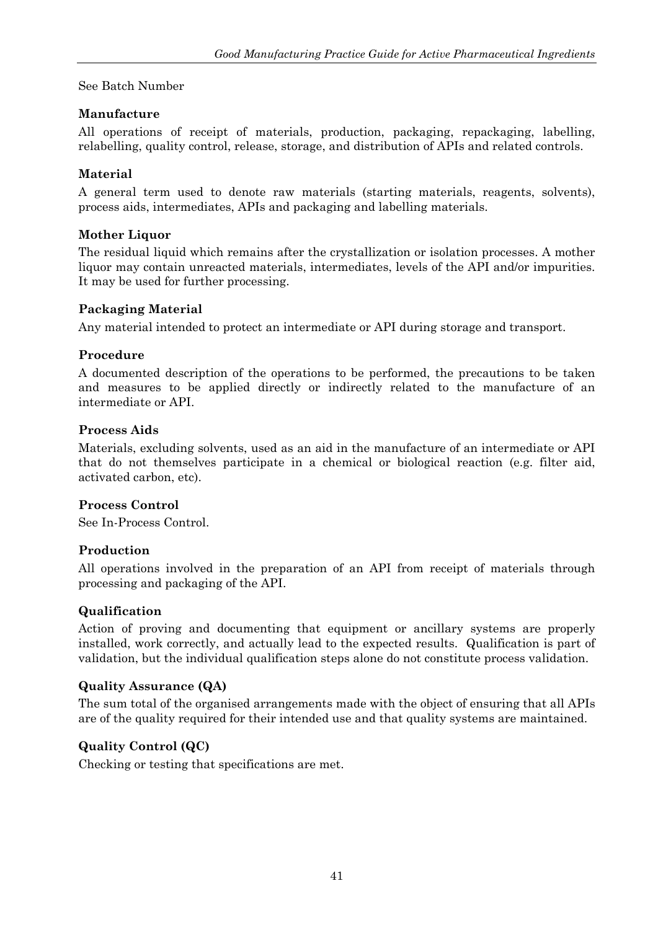See Batch Number

## **Manufacture**

All operations of receipt of materials, production, packaging, repackaging, labelling, relabelling, quality control, release, storage, and distribution of APIs and related controls.

## **Material**

A general term used to denote raw materials (starting materials, reagents, solvents), process aids, intermediates, APIs and packaging and labelling materials.

## **Mother Liquor**

The residual liquid which remains after the crystallization or isolation processes. A mother liquor may contain unreacted materials, intermediates, levels of the API and/or impurities. It may be used for further processing.

## **Packaging Material**

Any material intended to protect an intermediate or API during storage and transport.

## **Procedure**

A documented description of the operations to be performed, the precautions to be taken and measures to be applied directly or indirectly related to the manufacture of an intermediate or API.

## **Process Aids**

Materials, excluding solvents, used as an aid in the manufacture of an intermediate or API that do not themselves participate in a chemical or biological reaction (e.g. filter aid, activated carbon, etc).

## **Process Control**

See In-Process Control.

## **Production**

All operations involved in the preparation of an API from receipt of materials through processing and packaging of the API.

## **Qualification**

Action of proving and documenting that equipment or ancillary systems are properly installed, work correctly, and actually lead to the expected results. Qualification is part of validation, but the individual qualification steps alone do not constitute process validation.

## **Quality Assurance (QA)**

The sum total of the organised arrangements made with the object of ensuring that all APIs are of the quality required for their intended use and that quality systems are maintained.

## **Quality Control (QC)**

Checking or testing that specifications are met.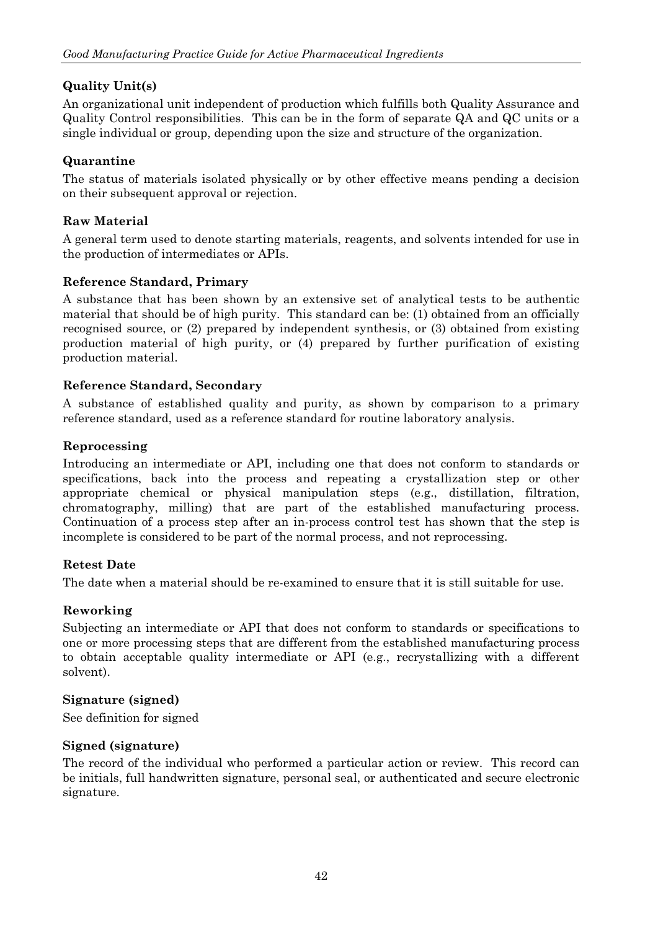## **Quality Unit(s)**

An organizational unit independent of production which fulfills both Quality Assurance and Quality Control responsibilities. This can be in the form of separate QA and QC units or a single individual or group, depending upon the size and structure of the organization.

## **Quarantine**

The status of materials isolated physically or by other effective means pending a decision on their subsequent approval or rejection.

## **Raw Material**

A general term used to denote starting materials, reagents, and solvents intended for use in the production of intermediates or APIs.

## **Reference Standard, Primary**

A substance that has been shown by an extensive set of analytical tests to be authentic material that should be of high purity. This standard can be: (1) obtained from an officially recognised source, or (2) prepared by independent synthesis, or (3) obtained from existing production material of high purity, or (4) prepared by further purification of existing production material.

## **Reference Standard, Secondary**

A substance of established quality and purity, as shown by comparison to a primary reference standard, used as a reference standard for routine laboratory analysis.

## **Reprocessing**

Introducing an intermediate or API, including one that does not conform to standards or specifications, back into the process and repeating a crystallization step or other appropriate chemical or physical manipulation steps (e.g., distillation, filtration, chromatography, milling) that are part of the established manufacturing process. Continuation of a process step after an in-process control test has shown that the step is incomplete is considered to be part of the normal process, and not reprocessing.

## **Retest Date**

The date when a material should be re-examined to ensure that it is still suitable for use.

## **Reworking**

Subjecting an intermediate or API that does not conform to standards or specifications to one or more processing steps that are different from the established manufacturing process to obtain acceptable quality intermediate or API (e.g., recrystallizing with a different solvent).

## **Signature (signed)**

See definition for signed

## **Signed (signature)**

The record of the individual who performed a particular action or review. This record can be initials, full handwritten signature, personal seal, or authenticated and secure electronic signature.